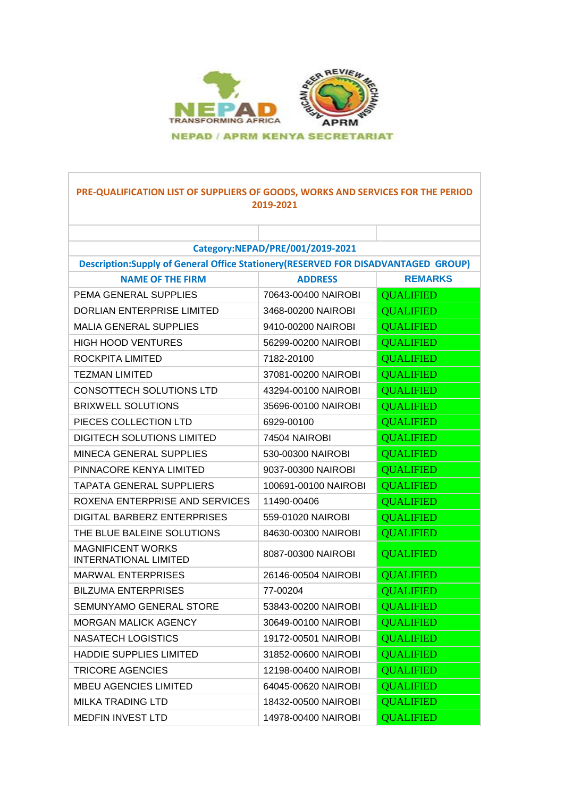

### **PRE-QUALIFICATION LIST OF SUPPLIERS OF GOODS, WORKS AND SERVICES FOR THE PERIOD 2019-2021**

ī

| Category:NEPAD/PRE/001/2019-2021                                                  |                      |                  |
|-----------------------------------------------------------------------------------|----------------------|------------------|
| Description:Supply of General Office Stationery(RESERVED FOR DISADVANTAGED GROUP) |                      |                  |
| <b>NAME OF THE FIRM</b>                                                           | <b>ADDRESS</b>       | <b>REMARKS</b>   |
| PEMA GENERAL SUPPLIES                                                             | 70643-00400 NAIROBI  | <b>QUALIFIED</b> |
| <b>DORLIAN ENTERPRISE LIMITED</b>                                                 | 3468-00200 NAIROBI   | <b>QUALIFIED</b> |
| <b>MALIA GENERAL SUPPLIES</b>                                                     | 9410-00200 NAIROBI   | <b>OUALIFIED</b> |
| <b>HIGH HOOD VENTURES</b>                                                         | 56299-00200 NAIROBI  | <b>QUALIFIED</b> |
| ROCKPITA LIMITED                                                                  | 7182-20100           | <b>QUALIFIED</b> |
| TEZMAN LIMITED                                                                    | 37081-00200 NAIROBI  | <b>QUALIFIED</b> |
| CONSOTTECH SOLUTIONS LTD                                                          | 43294-00100 NAIROBI  | <b>QUALIFIED</b> |
| <b>BRIXWELL SOLUTIONS</b>                                                         | 35696-00100 NAIROBI  | <b>QUALIFIED</b> |
| PIECES COLLECTION LTD                                                             | 6929-00100           | <b>QUALIFIED</b> |
| <b>DIGITECH SOLUTIONS LIMITED</b>                                                 | 74504 NAIROBI        | <b>QUALIFIED</b> |
| MINECA GENERAL SUPPLIES                                                           | 530-00300 NAIROBI    | <b>QUALIFIED</b> |
| PINNACORE KENYA LIMITED                                                           | 9037-00300 NAIROBI   | <b>QUALIFIED</b> |
| <b>TAPATA GENERAL SUPPLIERS</b>                                                   | 100691-00100 NAIROBI | <b>QUALIFIED</b> |
| ROXENA ENTERPRISE AND SERVICES                                                    | 11490-00406          | <b>QUALIFIED</b> |
| DIGITAL BARBERZ ENTERPRISES                                                       | 559-01020 NAIROBI    | <b>QUALIFIED</b> |
| THE BLUE BALEINE SOLUTIONS                                                        | 84630-00300 NAIROBI  | <b>QUALIFIED</b> |
| <b>MAGNIFICENT WORKS</b><br><b>INTERNATIONAL LIMITED</b>                          | 8087-00300 NAIROBI   | <b>QUALIFIED</b> |
| <b>MARWAL ENTERPRISES</b>                                                         | 26146-00504 NAIROBI  | <b>QUALIFIED</b> |
| <b>BILZUMA ENTERPRISES</b>                                                        | 77-00204             | <b>QUALIFIED</b> |
| SEMUNYAMO GENERAL STORE                                                           | 53843-00200 NAIROBI  | <b>QUALIFIED</b> |
| <b>MORGAN MALICK AGENCY</b>                                                       | 30649-00100 NAIROBI  | <b>QUALIFIED</b> |
| NASATECH LOGISTICS                                                                | 19172-00501 NAIROBI  | <b>QUALIFIED</b> |
| <b>HADDIE SUPPLIES LIMITED</b>                                                    | 31852-00600 NAIROBI  | <b>QUALIFIED</b> |
| <b>TRICORE AGENCIES</b>                                                           | 12198-00400 NAIROBI  | <b>QUALIFIED</b> |
| <b>MBEU AGENCIES LIMITED</b>                                                      | 64045-00620 NAIROBI  | <b>QUALIFIED</b> |
| <b>MILKA TRADING LTD</b>                                                          | 18432-00500 NAIROBI  | <b>QUALIFIED</b> |
| <b>MEDFIN INVEST LTD</b>                                                          | 14978-00400 NAIROBI  | <b>OUALIFIED</b> |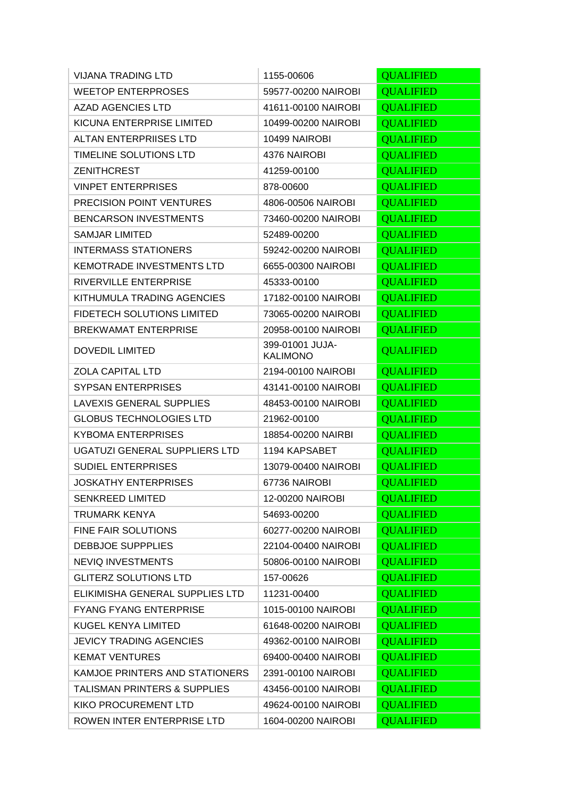| <b>VIJANA TRADING LTD</b>               | 1155-00606                         | <b>QUALIFIED</b> |
|-----------------------------------------|------------------------------------|------------------|
| <b>WEETOP ENTERPROSES</b>               | 59577-00200 NAIROBI                | <b>QUALIFIED</b> |
| <b>AZAD AGENCIES LTD</b>                | 41611-00100 NAIROBI                | <b>QUALIFIED</b> |
| KICUNA ENTERPRISE LIMITED               | 10499-00200 NAIROBI                | <b>QUALIFIED</b> |
| <b>ALTAN ENTERPRIISES LTD</b>           | 10499 NAIROBI                      | <b>QUALIFIED</b> |
| TIMELINE SOLUTIONS LTD                  | 4376 NAIROBI                       | <b>QUALIFIED</b> |
| <b>ZENITHCREST</b>                      | 41259-00100                        | <b>QUALIFIED</b> |
| <b>VINPET ENTERPRISES</b>               | 878-00600                          | <b>QUALIFIED</b> |
| <b>PRECISION POINT VENTURES</b>         | 4806-00506 NAIROBI                 | <b>QUALIFIED</b> |
| <b>BENCARSON INVESTMENTS</b>            | 73460-00200 NAIROBI                | <b>QUALIFIED</b> |
| <b>SAMJAR LIMITED</b>                   | 52489-00200                        | <b>QUALIFIED</b> |
| <b>INTERMASS STATIONERS</b>             | 59242-00200 NAIROBI                | <b>QUALIFIED</b> |
| <b>KEMOTRADE INVESTMENTS LTD</b>        | 6655-00300 NAIROBI                 | <b>QUALIFIED</b> |
| RIVERVILLE ENTERPRISE                   | 45333-00100                        | <b>QUALIFIED</b> |
| KITHUMULA TRADING AGENCIES              | 17182-00100 NAIROBI                | <b>QUALIFIED</b> |
| <b>FIDETECH SOLUTIONS LIMITED</b>       | 73065-00200 NAIROBI                | <b>QUALIFIED</b> |
| <b>BREKWAMAT ENTERPRISE</b>             | 20958-00100 NAIROBI                | <b>QUALIFIED</b> |
| <b>DOVEDIL LIMITED</b>                  | 399-01001 JUJA-<br><b>KALIMONO</b> | <b>QUALIFIED</b> |
| <b>ZOLA CAPITAL LTD</b>                 | 2194-00100 NAIROBI                 | <b>QUALIFIED</b> |
| <b>SYPSAN ENTERPRISES</b>               | 43141-00100 NAIROBI                | <b>QUALIFIED</b> |
| <b>LAVEXIS GENERAL SUPPLIES</b>         | 48453-00100 NAIROBI                | <b>QUALIFIED</b> |
| <b>GLOBUS TECHNOLOGIES LTD</b>          | 21962-00100                        | <b>QUALIFIED</b> |
| <b>KYBOMA ENTERPRISES</b>               | 18854-00200 NAIRBI                 | <b>QUALIFIED</b> |
| UGATUZI GENERAL SUPPLIERS LTD           | 1194 KAPSABET                      | <b>QUALIFIED</b> |
| <b>SUDIEL ENTERPRISES</b>               | 13079-00400 NAIROBI                | <b>QUALIFIED</b> |
| <b>JOSKATHY ENTERPRISES</b>             | 67736 NAIROBI                      | <b>QUALIFIED</b> |
| <b>SENKREED LIMITED</b>                 | 12-00200 NAIROBI                   | <b>QUALIFIED</b> |
| <b>TRUMARK KENYA</b>                    | 54693-00200                        | <b>QUALIFIED</b> |
| FINE FAIR SOLUTIONS                     | 60277-00200 NAIROBI                | <b>QUALIFIED</b> |
| <b>DEBBJOE SUPPPLIES</b>                | 22104-00400 NAIROBI                | <b>QUALIFIED</b> |
| <b>NEVIQ INVESTMENTS</b>                | 50806-00100 NAIROBI                | <b>QUALIFIED</b> |
| <b>GLITERZ SOLUTIONS LTD</b>            | 157-00626                          | <b>QUALIFIED</b> |
| ELIKIMISHA GENERAL SUPPLIES LTD         | 11231-00400                        | <b>QUALIFIED</b> |
| <b>FYANG FYANG ENTERPRISE</b>           | 1015-00100 NAIROBI                 | <b>QUALIFIED</b> |
| KUGEL KENYA LIMITED                     | 61648-00200 NAIROBI                | <b>QUALIFIED</b> |
| <b>JEVICY TRADING AGENCIES</b>          | 49362-00100 NAIROBI                | <b>QUALIFIED</b> |
| <b>KEMAT VENTURES</b>                   | 69400-00400 NAIROBI                | <b>QUALIFIED</b> |
| KAMJOE PRINTERS AND STATIONERS          | 2391-00100 NAIROBI                 | <b>QUALIFIED</b> |
| <b>TALISMAN PRINTERS &amp; SUPPLIES</b> | 43456-00100 NAIROBI                | <b>QUALIFIED</b> |
| <b>KIKO PROCUREMENT LTD</b>             | 49624-00100 NAIROBI                | <b>QUALIFIED</b> |
| ROWEN INTER ENTERPRISE LTD              | 1604-00200 NAIROBI                 | <b>QUALIFIED</b> |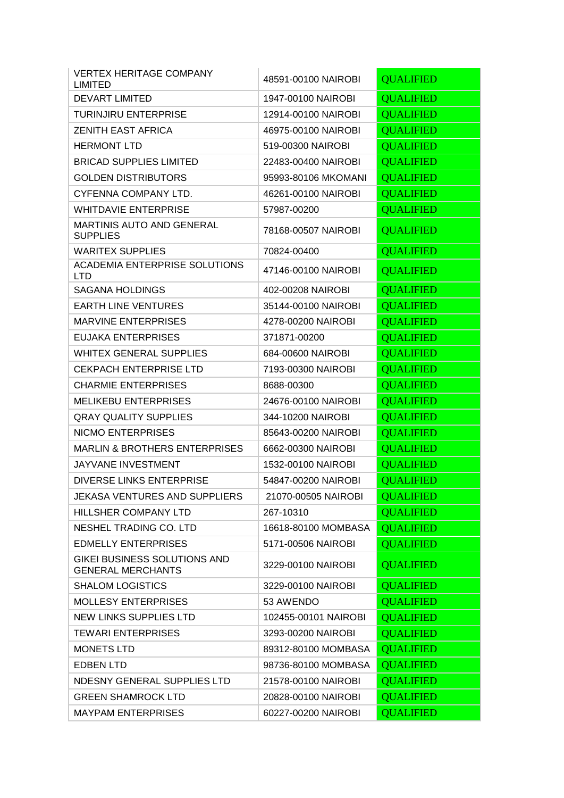| <b>VERTEX HERITAGE COMPANY</b><br><b>LIMITED</b>         | 48591-00100 NAIROBI  | <b>QUALIFIED</b> |
|----------------------------------------------------------|----------------------|------------------|
| <b>DEVART LIMITED</b>                                    | 1947-00100 NAIROBI   | <b>QUALIFIED</b> |
| <b>TURINJIRU ENTERPRISE</b>                              | 12914-00100 NAIROBI  | <b>QUALIFIED</b> |
| <b>ZENITH EAST AFRICA</b>                                | 46975-00100 NAIROBI  | <b>OUALIFIED</b> |
| <b>HERMONT LTD</b>                                       | 519-00300 NAIROBI    | <b>QUALIFIED</b> |
| <b>BRICAD SUPPLIES LIMITED</b>                           | 22483-00400 NAIROBI  | <b>QUALIFIED</b> |
| <b>GOLDEN DISTRIBUTORS</b>                               | 95993-80106 MKOMANI  | <b>QUALIFIED</b> |
| CYFENNA COMPANY LTD.                                     | 46261-00100 NAIROBI  | <b>QUALIFIED</b> |
| <b>WHITDAVIE ENTERPRISE</b>                              | 57987-00200          | <b>QUALIFIED</b> |
| <b>MARTINIS AUTO AND GENERAL</b><br><b>SUPPLIES</b>      | 78168-00507 NAIROBI  | <b>QUALIFIED</b> |
| <b>WARITEX SUPPLIES</b>                                  | 70824-00400          | <b>QUALIFIED</b> |
| <b>ACADEMIA ENTERPRISE SOLUTIONS</b><br><b>LTD</b>       | 47146-00100 NAIROBI  | <b>QUALIFIED</b> |
| <b>SAGANA HOLDINGS</b>                                   | 402-00208 NAIROBI    | <b>QUALIFIED</b> |
| <b>EARTH LINE VENTURES</b>                               | 35144-00100 NAIROBI  | <b>OUALIFIED</b> |
| <b>MARVINE ENTERPRISES</b>                               | 4278-00200 NAIROBI   | <b>QUALIFIED</b> |
| EUJAKA ENTERPRISES                                       | 371871-00200         | <b>QUALIFIED</b> |
| <b>WHITEX GENERAL SUPPLIES</b>                           | 684-00600 NAIROBI    | <b>QUALIFIED</b> |
| <b>CEKPACH ENTERPRISE LTD</b>                            | 7193-00300 NAIROBI   | <b>QUALIFIED</b> |
| <b>CHARMIE ENTERPRISES</b>                               | 8688-00300           | <b>QUALIFIED</b> |
| <b>MELIKEBU ENTERPRISES</b>                              | 24676-00100 NAIROBI  | <b>QUALIFIED</b> |
| <b>QRAY QUALITY SUPPLIES</b>                             | 344-10200 NAIROBI    | <b>QUALIFIED</b> |
| <b>NICMO ENTERPRISES</b>                                 | 85643-00200 NAIROBI  | <b>QUALIFIED</b> |
| <b>MARLIN &amp; BROTHERS ENTERPRISES</b>                 | 6662-00300 NAIROBI   | <b>QUALIFIED</b> |
| <b>JAYVANE INVESTMENT</b>                                | 1532-00100 NAIROBI   | <b>QUALIFIED</b> |
| <b>DIVERSE LINKS ENTERPRISE</b>                          | 54847-00200 NAIROBI  | <b>QUALIFIED</b> |
| JEKASA VENTURES AND SUPPLIERS                            | 21070-00505 NAIROBI  | <b>OUALIFIED</b> |
| HILLSHER COMPANY LTD                                     | 267-10310            | <b>QUALIFIED</b> |
| NESHEL TRADING CO. LTD                                   | 16618-80100 MOMBASA  | <b>QUALIFIED</b> |
| <b>EDMELLY ENTERPRISES</b>                               | 5171-00506 NAIROBI   | <b>QUALIFIED</b> |
| GIKEI BUSINESS SOLUTIONS AND<br><b>GENERAL MERCHANTS</b> | 3229-00100 NAIROBI   | <b>QUALIFIED</b> |
| <b>SHALOM LOGISTICS</b>                                  | 3229-00100 NAIROBI   | <b>QUALIFIED</b> |
| <b>MOLLESY ENTERPRISES</b>                               | 53 AWENDO            | <b>QUALIFIED</b> |
| NEW LINKS SUPPLIES LTD                                   | 102455-00101 NAIROBI | <b>QUALIFIED</b> |
| <b>TEWARI ENTERPRISES</b>                                | 3293-00200 NAIROBI   | <b>QUALIFIED</b> |
| <b>MONETS LTD</b>                                        | 89312-80100 MOMBASA  | <b>QUALIFIED</b> |
| <b>EDBEN LTD</b>                                         | 98736-80100 MOMBASA  | <b>QUALIFIED</b> |
| NDESNY GENERAL SUPPLIES LTD                              | 21578-00100 NAIROBI  | <b>QUALIFIED</b> |
| <b>GREEN SHAMROCK LTD</b>                                | 20828-00100 NAIROBI  | <b>QUALIFIED</b> |
| <b>MAYPAM ENTERPRISES</b>                                | 60227-00200 NAIROBI  | <b>QUALIFIED</b> |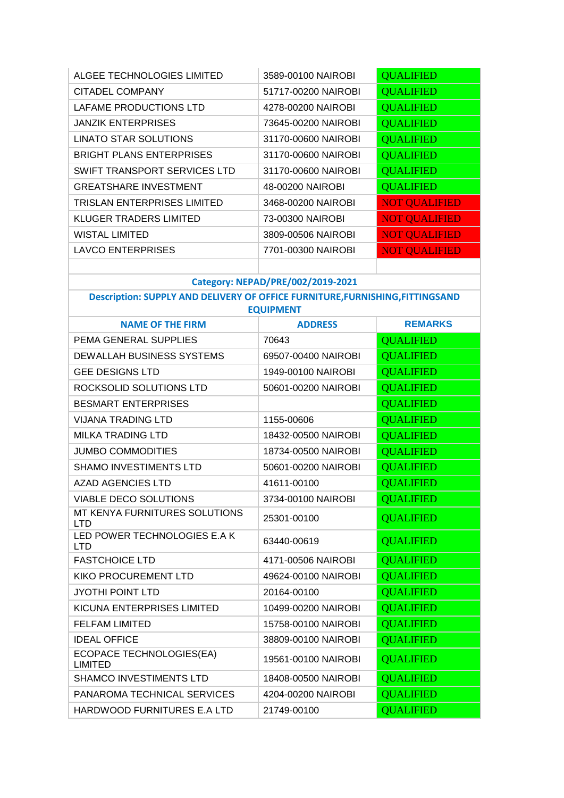| ALGEE TECHNOLOGIES LIMITED         | 3589-00100 NAIROBI  | <b>QUALIFIED</b>     |
|------------------------------------|---------------------|----------------------|
| <b>CITADEL COMPANY</b>             | 51717-00200 NAIROBI | <b>QUALIFIED</b>     |
| LAFAME PRODUCTIONS LTD             | 4278-00200 NAIROBI  | <b>QUALIFIED</b>     |
| <b>JANZIK ENTERPRISES</b>          | 73645-00200 NAIROBI | <b>QUALIFIED</b>     |
| <b>LINATO STAR SOLUTIONS</b>       | 31170-00600 NAIROBI | <b>QUALIFIED</b>     |
| <b>BRIGHT PLANS ENTERPRISES</b>    | 31170-00600 NAIROBI | <b>QUALIFIED</b>     |
| SWIFT TRANSPORT SERVICES LTD       | 31170-00600 NAIROBI | <b>QUALIFIED</b>     |
| <b>GREATSHARE INVESTMENT</b>       | 48-00200 NAIROBI    | <b>QUALIFIED</b>     |
| <b>TRISLAN ENTERPRISES LIMITED</b> | 3468-00200 NAIROBI  | <b>NOT QUALIFIED</b> |
| <b>KLUGER TRADERS LIMITED</b>      | 73-00300 NAIROBI    | <b>NOT QUALIFIED</b> |
| <b>WISTAL LIMITED</b>              | 3809-00506 NAIROBI  | <b>NOT QUALIFIED</b> |
| <b>LAVCO ENTERPRISES</b>           | 7701-00300 NAIROBI  | <b>NOT QUALIFIED</b> |
|                                    |                     |                      |

# **Category: NEPAD/PRE/002/2019-2021**

**Description: SUPPLY AND DELIVERY OF OFFICE FURNITURE,FURNISHING,FITTINGSAND EQUIPMENT**

| <b>NAME OF THE FIRM</b>                           | <b>ADDRESS</b>      | <b>REMARKS</b>   |
|---------------------------------------------------|---------------------|------------------|
| PEMA GENERAL SUPPLIES                             | 70643               | <b>OUALIFIED</b> |
| DEWALLAH BUSINESS SYSTEMS                         | 69507-00400 NAIROBI | <b>QUALIFIED</b> |
| <b>GEE DESIGNS LTD</b>                            | 1949-00100 NAIROBI  | <b>QUALIFIED</b> |
| ROCKSOLID SOLUTIONS LTD                           | 50601-00200 NAIROBI | <b>QUALIFIED</b> |
| <b>BESMART ENTERPRISES</b>                        |                     | <b>QUALIFIED</b> |
| <b>VIJANA TRADING LTD</b>                         | 1155-00606          | <b>QUALIFIED</b> |
| <b>MILKA TRADING LTD</b>                          | 18432-00500 NAIROBI | <b>QUALIFIED</b> |
| <b>JUMBO COMMODITIES</b>                          | 18734-00500 NAIROBI | <b>QUALIFIED</b> |
| <b>SHAMO INVESTIMENTS LTD</b>                     | 50601-00200 NAIROBI | <b>QUALIFIED</b> |
| <b>AZAD AGENCIES LTD</b>                          | 41611-00100         | <b>QUALIFIED</b> |
| <b>VIABLE DECO SOLUTIONS</b>                      | 3734-00100 NAIROBI  | <b>QUALIFIED</b> |
| MT KENYA FURNITURES SOLUTIONS<br><b>LTD</b>       | 25301-00100         | <b>QUALIFIED</b> |
| LED POWER TECHNOLOGIES E.A K<br><b>LTD</b>        | 63440-00619         | <b>QUALIFIED</b> |
| <b>FASTCHOICE LTD</b>                             | 4171-00506 NAIROBI  | <b>QUALIFIED</b> |
| <b>KIKO PROCUREMENT LTD</b>                       | 49624-00100 NAIROBI | <b>QUALIFIED</b> |
| <b>JYOTHI POINT LTD</b>                           | 20164-00100         | <b>QUALIFIED</b> |
| KICUNA ENTERPRISES LIMITED                        | 10499-00200 NAIROBI | <b>QUALIFIED</b> |
| <b>FELFAM LIMITED</b>                             | 15758-00100 NAIROBI | <b>QUALIFIED</b> |
| <b>IDEAL OFFICE</b>                               | 38809-00100 NAIROBI | <b>QUALIFIED</b> |
| <b>ECOPACE TECHNOLOGIES(EA)</b><br><b>LIMITED</b> | 19561-00100 NAIROBI | <b>QUALIFIED</b> |
| SHAMCO INVESTIMENTS LTD                           | 18408-00500 NAIROBI | <b>QUALIFIED</b> |
| PANAROMA TECHNICAL SERVICES                       | 4204-00200 NAIROBI  | <b>QUALIFIED</b> |
| HARDWOOD FURNITURES E.A LTD                       | 21749-00100         | <b>OUALIFIED</b> |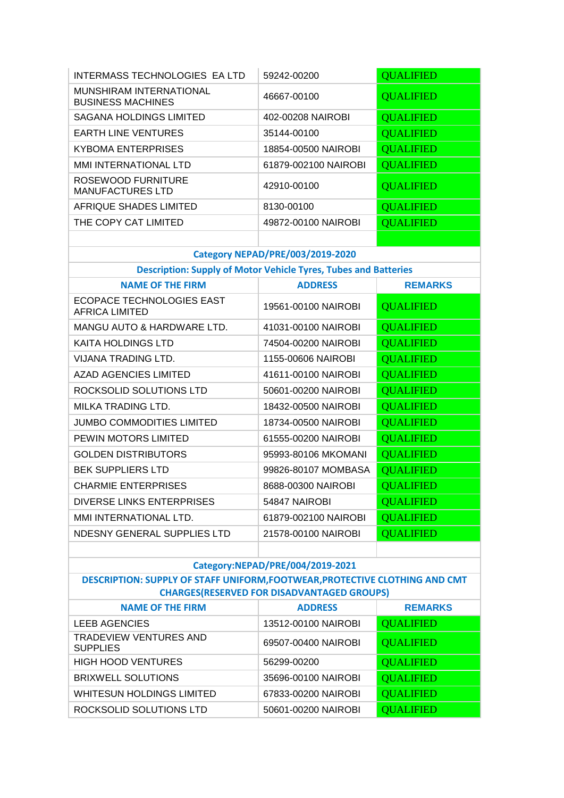| <b>INTERMASS TECHNOLOGIES EA LTD</b>                                        | 59242-00200                                       | <b>QUALIFIED</b> |
|-----------------------------------------------------------------------------|---------------------------------------------------|------------------|
| MUNSHIRAM INTERNATIONAL<br><b>BUSINESS MACHINES</b>                         | 46667-00100                                       | <b>QUALIFIED</b> |
| <b>SAGANA HOLDINGS LIMITED</b>                                              | 402-00208 NAIROBI                                 | <b>QUALIFIED</b> |
| <b>EARTH LINE VENTURES</b>                                                  | 35144-00100                                       | <b>OUALIFIED</b> |
| <b>KYBOMA ENTERPRISES</b>                                                   | 18854-00500 NAIROBI                               | <b>QUALIFIED</b> |
| MMI INTERNATIONAL LTD                                                       | 61879-002100 NAIROBI                              | <b>QUALIFIED</b> |
| ROSEWOOD FURNITURE<br><b>MANUFACTURES LTD</b>                               | 42910-00100                                       | <b>QUALIFIED</b> |
| AFRIQUE SHADES LIMITED                                                      | 8130-00100                                        | <b>QUALIFIED</b> |
| THE COPY CAT LIMITED                                                        | 49872-00100 NAIROBI                               | <b>QUALIFIED</b> |
|                                                                             |                                                   |                  |
|                                                                             | <b>Category NEPAD/PRE/003/2019-2020</b>           |                  |
| <b>Description: Supply of Motor Vehicle Tyres, Tubes and Batteries</b>      |                                                   |                  |
| <b>NAME OF THE FIRM</b>                                                     | <b>ADDRESS</b>                                    | <b>REMARKS</b>   |
| <b>ECOPACE TECHNOLOGIES EAST</b><br><b>AFRICA LIMITED</b>                   | 19561-00100 NAIROBI                               | <b>QUALIFIED</b> |
| MANGU AUTO & HARDWARE LTD.                                                  | 41031-00100 NAIROBI                               | <b>QUALIFIED</b> |
| <b>KAITA HOLDINGS LTD</b>                                                   | 74504-00200 NAIROBI                               | <b>QUALIFIED</b> |
| VIJANA TRADING LTD.                                                         | 1155-00606 NAIROBI                                | <b>QUALIFIED</b> |
| <b>AZAD AGENCIES LIMITED</b>                                                | 41611-00100 NAIROBI                               | <b>QUALIFIED</b> |
| ROCKSOLID SOLUTIONS LTD                                                     | 50601-00200 NAIROBI                               | <b>QUALIFIED</b> |
| MILKA TRADING LTD.                                                          | 18432-00500 NAIROBI                               | <b>QUALIFIED</b> |
| <b>JUMBO COMMODITIES LIMITED</b>                                            | 18734-00500 NAIROBI                               | <b>QUALIFIED</b> |
| PEWIN MOTORS LIMITED                                                        | 61555-00200 NAIROBI                               | <b>QUALIFIED</b> |
| <b>GOLDEN DISTRIBUTORS</b>                                                  | 95993-80106 MKOMANI                               | <b>QUALIFIED</b> |
| <b>BEK SUPPLIERS LTD</b>                                                    | 99826-80107 MOMBASA                               | <b>QUALIFIED</b> |
| <b>CHARMIE ENTERPRISES</b>                                                  | 8688-00300 NAIROBI                                | <b>QUALIFIED</b> |
| <b>DIVERSE LINKS ENTERPRISES</b>                                            | 54847 NAIROBI                                     | <b>QUALIFIED</b> |
| MMI INTERNATIONAL LTD.                                                      | 61879-002100 NAIROBI                              | <b>QUALIFIED</b> |
| NDESNY GENERAL SUPPLIES LTD                                                 | 21578-00100 NAIROBI                               | <b>QUALIFIED</b> |
|                                                                             |                                                   |                  |
|                                                                             | Category:NEPAD/PRE/004/2019-2021                  |                  |
| DESCRIPTION: SUPPLY OF STAFF UNIFORM, FOOTWEAR, PROTECTIVE CLOTHING AND CMT |                                                   |                  |
|                                                                             | <b>CHARGES(RESERVED FOR DISADVANTAGED GROUPS)</b> |                  |
| <b>NAME OF THE FIRM</b>                                                     | <b>ADDRESS</b>                                    | <b>REMARKS</b>   |
| <b>LEEB AGENCIES</b>                                                        | 13512-00100 NAIROBI                               | <b>QUALIFIED</b> |
| TRADEVIEW VENTURES AND<br><b>SUPPLIES</b>                                   | 69507-00400 NAIROBI                               | <b>QUALIFIED</b> |
| <b>HIGH HOOD VENTURES</b>                                                   | 56299-00200                                       | <b>QUALIFIED</b> |
| <b>BRIXWELL SOLUTIONS</b>                                                   | 35696-00100 NAIROBI                               | <b>QUALIFIED</b> |
| <b>WHITESUN HOLDINGS LIMITED</b>                                            | 67833-00200 NAIROBI                               | <b>QUALIFIED</b> |
| ROCKSOLID SOLUTIONS LTD                                                     | 50601-00200 NAIROBI                               | <b>QUALIFIED</b> |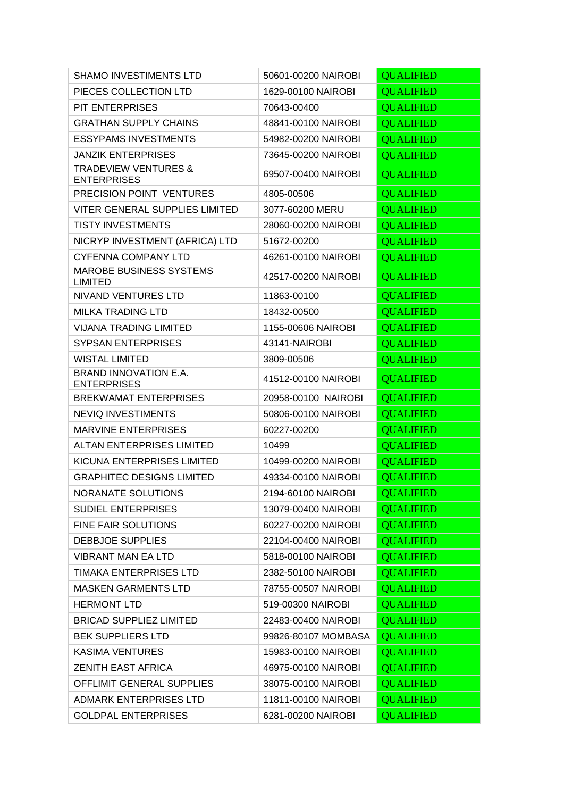| <b>SHAMO INVESTIMENTS LTD</b>                         | 50601-00200 NAIROBI | <b>QUALIFIED</b> |
|-------------------------------------------------------|---------------------|------------------|
| PIECES COLLECTION LTD                                 | 1629-00100 NAIROBI  | <b>QUALIFIED</b> |
| PIT ENTERPRISES                                       | 70643-00400         | <b>QUALIFIED</b> |
| <b>GRATHAN SUPPLY CHAINS</b>                          | 48841-00100 NAIROBI | <b>QUALIFIED</b> |
| <b>ESSYPAMS INVESTMENTS</b>                           | 54982-00200 NAIROBI | <b>QUALIFIED</b> |
| <b>JANZIK ENTERPRISES</b>                             | 73645-00200 NAIROBI | <b>QUALIFIED</b> |
| <b>TRADEVIEW VENTURES &amp;</b><br><b>ENTERPRISES</b> | 69507-00400 NAIROBI | <b>QUALIFIED</b> |
| PRECISION POINT VENTURES                              | 4805-00506          | <b>QUALIFIED</b> |
| <b>VITER GENERAL SUPPLIES LIMITED</b>                 | 3077-60200 MERU     | <b>QUALIFIED</b> |
| <b>TISTY INVESTMENTS</b>                              | 28060-00200 NAIROBI | <b>QUALIFIED</b> |
| NICRYP INVESTMENT (AFRICA) LTD                        | 51672-00200         | <b>QUALIFIED</b> |
| <b>CYFENNA COMPANY LTD</b>                            | 46261-00100 NAIROBI | <b>QUALIFIED</b> |
| <b>MAROBE BUSINESS SYSTEMS</b><br><b>LIMITED</b>      | 42517-00200 NAIROBI | <b>QUALIFIED</b> |
| NIVAND VENTURES LTD                                   | 11863-00100         | <b>QUALIFIED</b> |
| <b>MILKA TRADING LTD</b>                              | 18432-00500         | <b>QUALIFIED</b> |
| <b>VIJANA TRADING LIMITED</b>                         | 1155-00606 NAIROBI  | <b>QUALIFIED</b> |
| <b>SYPSAN ENTERPRISES</b>                             | 43141-NAIROBI       | <b>QUALIFIED</b> |
| <b>WISTAL LIMITED</b>                                 | 3809-00506          | <b>QUALIFIED</b> |
| BRAND INNOVATION E.A.<br><b>ENTERPRISES</b>           | 41512-00100 NAIROBI | <b>QUALIFIED</b> |
| <b>BREKWAMAT ENTERPRISES</b>                          | 20958-00100 NAIROBI | <b>QUALIFIED</b> |
| NEVIQ INVESTIMENTS                                    | 50806-00100 NAIROBI | <b>QUALIFIED</b> |
| <b>MARVINE ENTERPRISES</b>                            | 60227-00200         | <b>QUALIFIED</b> |
| <b>ALTAN ENTERPRISES LIMITED</b>                      | 10499               | <b>QUALIFIED</b> |
| KICUNA ENTERPRISES LIMITED                            | 10499-00200 NAIROBI | <b>QUALIFIED</b> |
| <b>GRAPHITEC DESIGNS LIMITED</b>                      | 49334-00100 NAIROBI | <b>QUALIFIED</b> |
| NORANATE SOLUTIONS                                    | 2194-60100 NAIROBI  | <b>QUALIFIED</b> |
| <b>SUDIEL ENTERPRISES</b>                             | 13079-00400 NAIROBI | <b>QUALIFIED</b> |
| FINE FAIR SOLUTIONS                                   | 60227-00200 NAIROBI | <b>QUALIFIED</b> |
| <b>DEBBJOE SUPPLIES</b>                               | 22104-00400 NAIROBI | <b>QUALIFIED</b> |
| <b>VIBRANT MAN EA LTD</b>                             | 5818-00100 NAIROBI  | <b>QUALIFIED</b> |
| <b>TIMAKA ENTERPRISES LTD</b>                         | 2382-50100 NAIROBI  | <b>QUALIFIED</b> |
| <b>MASKEN GARMENTS LTD</b>                            | 78755-00507 NAIROBI | <b>QUALIFIED</b> |
| <b>HERMONT LTD</b>                                    | 519-00300 NAIROBI   | <b>QUALIFIED</b> |
| <b>BRICAD SUPPLIEZ LIMITED</b>                        | 22483-00400 NAIROBI | <b>QUALIFIED</b> |
| <b>BEK SUPPLIERS LTD</b>                              | 99826-80107 MOMBASA | <b>QUALIFIED</b> |
| <b>KASIMA VENTURES</b>                                | 15983-00100 NAIROBI | <b>QUALIFIED</b> |
| <b>ZENITH EAST AFRICA</b>                             | 46975-00100 NAIROBI | <b>QUALIFIED</b> |
| OFFLIMIT GENERAL SUPPLIES                             | 38075-00100 NAIROBI | <b>QUALIFIED</b> |
| ADMARK ENTERPRISES LTD                                | 11811-00100 NAIROBI | <b>QUALIFIED</b> |
| <b>GOLDPAL ENTERPRISES</b>                            | 6281-00200 NAIROBI  | <b>QUALIFIED</b> |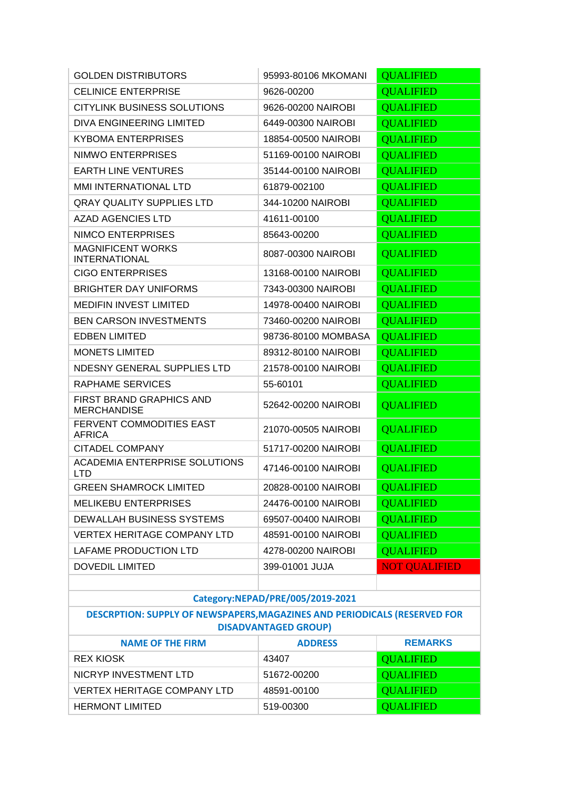| <b>GOLDEN DISTRIBUTORS</b>                                                                               | 95993-80106 MKOMANI | <b>QUALIFIED</b>     |
|----------------------------------------------------------------------------------------------------------|---------------------|----------------------|
| <b>CELINICE ENTERPRISE</b>                                                                               | 9626-00200          | <b>QUALIFIED</b>     |
| <b>CITYLINK BUSINESS SOLUTIONS</b>                                                                       | 9626-00200 NAIROBI  | <b>QUALIFIED</b>     |
| DIVA ENGINEERING LIMITED                                                                                 | 6449-00300 NAIROBI  | <b>QUALIFIED</b>     |
| <b>KYBOMA ENTERPRISES</b>                                                                                | 18854-00500 NAIROBI | <b>QUALIFIED</b>     |
| NIMWO ENTERPRISES                                                                                        | 51169-00100 NAIROBI | <b>QUALIFIED</b>     |
| <b>EARTH LINE VENTURES</b>                                                                               | 35144-00100 NAIROBI | <b>QUALIFIED</b>     |
| <b>MMI INTERNATIONAL LTD</b>                                                                             | 61879-002100        | <b>QUALIFIED</b>     |
| <b>QRAY QUALITY SUPPLIES LTD</b>                                                                         | 344-10200 NAIROBI   | <b>QUALIFIED</b>     |
| <b>AZAD AGENCIES LTD</b>                                                                                 | 41611-00100         | <b>QUALIFIED</b>     |
| NIMCO ENTERPRISES                                                                                        | 85643-00200         | <b>QUALIFIED</b>     |
| <b>MAGNIFICENT WORKS</b><br><b>INTERNATIONAL</b>                                                         | 8087-00300 NAIROBI  | <b>QUALIFIED</b>     |
| <b>CIGO ENTERPRISES</b>                                                                                  | 13168-00100 NAIROBI | <b>QUALIFIED</b>     |
| <b>BRIGHTER DAY UNIFORMS</b>                                                                             | 7343-00300 NAIROBI  | <b>QUALIFIED</b>     |
| <b>MEDIFIN INVEST LIMITED</b>                                                                            | 14978-00400 NAIROBI | <b>QUALIFIED</b>     |
| <b>BEN CARSON INVESTMENTS</b>                                                                            | 73460-00200 NAIROBI | <b>QUALIFIED</b>     |
| <b>EDBEN LIMITED</b>                                                                                     | 98736-80100 MOMBASA | <b>QUALIFIED</b>     |
| <b>MONETS LIMITED</b>                                                                                    | 89312-80100 NAIROBI | <b>QUALIFIED</b>     |
| NDESNY GENERAL SUPPLIES LTD                                                                              | 21578-00100 NAIROBI | <b>QUALIFIED</b>     |
| <b>RAPHAME SERVICES</b>                                                                                  | 55-60101            | <b>QUALIFIED</b>     |
| FIRST BRAND GRAPHICS AND<br><b>MERCHANDISE</b>                                                           | 52642-00200 NAIROBI | <b>QUALIFIED</b>     |
| FERVENT COMMODITIES EAST<br><b>AFRICA</b>                                                                | 21070-00505 NAIROBI | <b>QUALIFIED</b>     |
| <b>CITADEL COMPANY</b>                                                                                   | 51717-00200 NAIROBI | <b>QUALIFIED</b>     |
| ACADEMIA ENTERPRISE SOLUTIONS<br><b>LTD</b>                                                              | 47146-00100 NAIROBI | <b>QUALIFIED</b>     |
| <b>GREEN SHAMROCK LIMITED</b>                                                                            | 20828-00100 NAIROBI | <b>OUALIFIED</b>     |
| <b>MELIKEBU ENTERPRISES</b>                                                                              | 24476-00100 NAIROBI | <b>QUALIFIED</b>     |
| <b>DEWALLAH BUSINESS SYSTEMS</b>                                                                         | 69507-00400 NAIROBI | <b>QUALIFIED</b>     |
| <b>VERTEX HERITAGE COMPANY LTD</b>                                                                       | 48591-00100 NAIROBI | <b>QUALIFIED</b>     |
| LAFAME PRODUCTION LTD                                                                                    | 4278-00200 NAIROBI  | <b>QUALIFIED</b>     |
| <b>DOVEDIL LIMITED</b>                                                                                   | 399-01001 JUJA      | <b>NOT QUALIFIED</b> |
|                                                                                                          |                     |                      |
| Category:NEPAD/PRE/005/2019-2021                                                                         |                     |                      |
| DESCRPTION: SUPPLY OF NEWSPAPERS, MAGAZINES AND PERIODICALS (RESERVED FOR<br><b>DISADVANTAGED GROUP)</b> |                     |                      |
| <b>NAME OF THE FIRM</b>                                                                                  | <b>ADDRESS</b>      | <b>REMARKS</b>       |
| <b>REX KIOSK</b>                                                                                         | 43407               | <b>QUALIFIED</b>     |
| NICRYP INVESTMENT LTD                                                                                    | 51672-00200         | <b>QUALIFIED</b>     |
| VERTEX HERITAGE COMPANY LTD                                                                              | 48591-00100         | <b>QUALIFIED</b>     |

HERMONT LIMITED 519-00300 CUALIFIED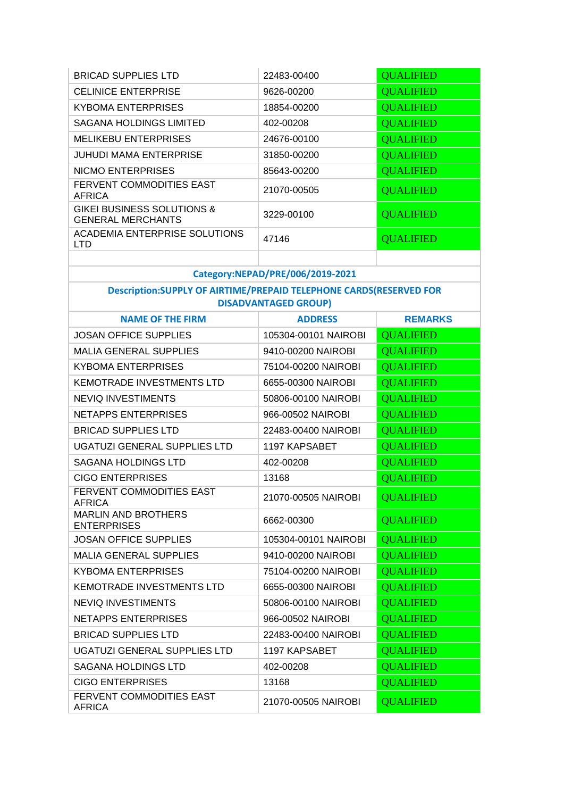| <b>BRICAD SUPPLIES LTD</b>                                         | 22483-00400                      | <b>QUALIFIED</b> |
|--------------------------------------------------------------------|----------------------------------|------------------|
| <b>CELINICE ENTERPRISE</b>                                         | 9626-00200                       | <b>QUALIFIED</b> |
| <b>KYBOMA ENTERPRISES</b>                                          | 18854-00200                      | <b>QUALIFIED</b> |
| <b>SAGANA HOLDINGS LIMITED</b>                                     | 402-00208                        | <b>QUALIFIED</b> |
| <b>MELIKEBU ENTERPRISES</b>                                        | 24676-00100                      | <b>QUALIFIED</b> |
| <b>JUHUDI MAMA ENTERPRISE</b>                                      | 31850-00200                      | <b>QUALIFIED</b> |
| NICMO ENTERPRISES                                                  | 85643-00200                      | <b>QUALIFIED</b> |
| FERVENT COMMODITIES EAST<br><b>AFRICA</b>                          | 21070-00505                      | <b>QUALIFIED</b> |
| <b>GIKEI BUSINESS SOLUTIONS &amp;</b><br><b>GENERAL MERCHANTS</b>  | 3229-00100                       | <b>QUALIFIED</b> |
| <b>ACADEMIA ENTERPRISE SOLUTIONS</b><br><b>LTD</b>                 | 47146                            | <b>QUALIFIED</b> |
|                                                                    | Category:NEPAD/PRE/006/2019-2021 |                  |
| Description:SUPPLY OF AIRTIME/PREPAID TELEPHONE CARDS(RESERVED FOR | <b>DISADVANTAGED GROUP)</b>      |                  |
| <b>NAME OF THE FIRM</b>                                            | <b>ADDRESS</b>                   | <b>REMARKS</b>   |
| <b>JOSAN OFFICE SUPPLIES</b>                                       | 105304-00101 NAIROBI             | <b>QUALIFIED</b> |
| <b>MALIA GENERAL SUPPLIES</b>                                      | 9410-00200 NAIROBI               | <b>QUALIFIED</b> |
| <b>KYBOMA ENTERPRISES</b>                                          | 75104-00200 NAIROBI              | <b>QUALIFIED</b> |
| <b>KEMOTRADE INVESTMENTS LTD</b>                                   | 6655-00300 NAIROBI               | <b>QUALIFIED</b> |
| <b>NEVIQ INVESTIMENTS</b>                                          | 50806-00100 NAIROBI              | <b>QUALIFIED</b> |
| <b>NETAPPS ENTERPRISES</b>                                         | 966-00502 NAIROBI                | <b>QUALIFIED</b> |
| <b>BRICAD SUPPLIES LTD</b>                                         | 22483-00400 NAIROBI              | <b>QUALIFIED</b> |
| UGATUZI GENERAL SUPPLIES LTD                                       | 1197 KAPSABET                    | <b>QUALIFIED</b> |
| SAGANA HOLDINGS LTD                                                | 402-00208                        | <b>QUALIFIED</b> |
| <b>CIGO ENTERPRISES</b>                                            | 13168                            | <b>OUALIFIED</b> |
| FERVENT COMMODITIES EAST<br><b>AFRICA</b>                          | 21070-00505 NAIROBI              | <b>QUALIFIED</b> |
| <b>MARLIN AND BROTHERS</b><br><b>ENTERPRISES</b>                   | 6662-00300                       | <b>QUALIFIED</b> |
| <b>JOSAN OFFICE SUPPLIES</b>                                       | 105304-00101 NAIROBI             | <b>QUALIFIED</b> |
| <b>MALIA GENERAL SUPPLIES</b>                                      | 9410-00200 NAIROBI               | <b>QUALIFIED</b> |
| <b>KYBOMA ENTERPRISES</b>                                          | 75104-00200 NAIROBI              | <b>QUALIFIED</b> |
| <b>KEMOTRADE INVESTMENTS LTD</b>                                   | 6655-00300 NAIROBI               | <b>QUALIFIED</b> |
| <b>NEVIQ INVESTIMENTS</b>                                          | 50806-00100 NAIROBI              | <b>QUALIFIED</b> |
| <b>NETAPPS ENTERPRISES</b>                                         | 966-00502 NAIROBI                | <b>QUALIFIED</b> |
| <b>BRICAD SUPPLIES LTD</b>                                         | 22483-00400 NAIROBI              | <b>QUALIFIED</b> |
| UGATUZI GENERAL SUPPLIES LTD                                       | 1197 KAPSABET                    | <b>QUALIFIED</b> |
| <b>SAGANA HOLDINGS LTD</b>                                         | 402-00208                        | <b>QUALIFIED</b> |
| <b>CIGO ENTERPRISES</b>                                            | 13168                            | <b>QUALIFIED</b> |
| FERVENT COMMODITIES EAST<br><b>AFRICA</b>                          | 21070-00505 NAIROBI              | <b>QUALIFIED</b> |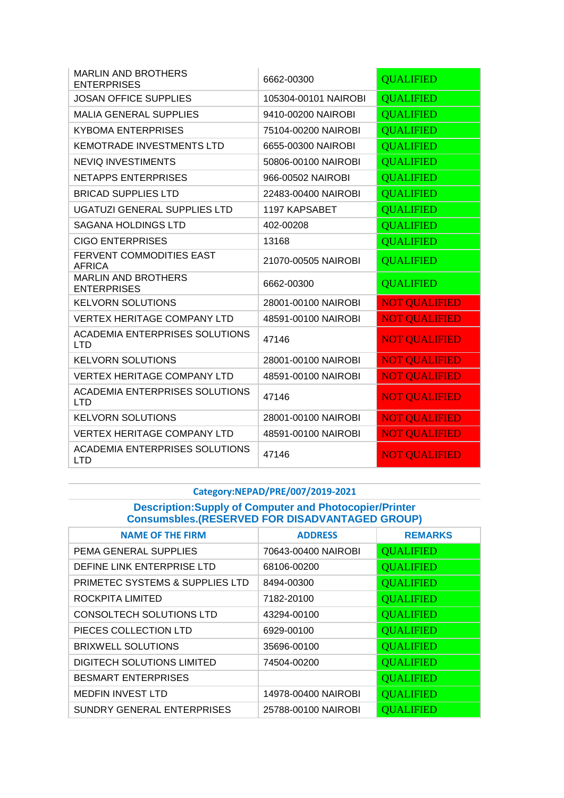| <b>MARLIN AND BROTHERS</b><br><b>ENTERPRISES</b>    | 6662-00300           | <b>QUALIFIED</b>     |
|-----------------------------------------------------|----------------------|----------------------|
| <b>JOSAN OFFICE SUPPLIES</b>                        | 105304-00101 NAIROBI | <b>QUALIFIED</b>     |
| <b>MALIA GENERAL SUPPLIES</b>                       | 9410-00200 NAIROBI   | <b>QUALIFIED</b>     |
| <b>KYBOMA ENTERPRISES</b>                           | 75104-00200 NAIROBI  | <b>QUALIFIED</b>     |
| <b>KEMOTRADE INVESTMENTS LTD</b>                    | 6655-00300 NAIROBI   | <b>QUALIFIED</b>     |
| <b>NEVIQ INVESTIMENTS</b>                           | 50806-00100 NAIROBI  | <b>QUALIFIED</b>     |
| <b>NETAPPS ENTERPRISES</b>                          | 966-00502 NAIROBI    | <b>OUALIFIED</b>     |
| <b>BRICAD SUPPLIES LTD</b>                          | 22483-00400 NAIROBI  | <b>QUALIFIED</b>     |
| UGATUZI GENERAL SUPPLIES LTD                        | 1197 KAPSABET        | <b>QUALIFIED</b>     |
| <b>SAGANA HOLDINGS LTD</b>                          | 402-00208            | <b>QUALIFIED</b>     |
| <b>CIGO ENTERPRISES</b>                             | 13168                | <b>QUALIFIED</b>     |
| FERVENT COMMODITIES EAST<br><b>AFRICA</b>           | 21070-00505 NAIROBI  | <b>QUALIFIED</b>     |
| <b>MARLIN AND BROTHERS</b><br><b>ENTERPRISES</b>    | 6662-00300           | <b>QUALIFIED</b>     |
| <b>KELVORN SOLUTIONS</b>                            | 28001-00100 NAIROBI  | <b>NOT QUALIFIED</b> |
| <b>VERTEX HERITAGE COMPANY LTD</b>                  | 48591-00100 NAIROBI  | <b>NOT QUALIFIED</b> |
| ACADEMIA ENTERPRISES SOLUTIONS<br><b>LTD</b>        | 47146                | <b>NOT QUALIFIED</b> |
| <b>KELVORN SOLUTIONS</b>                            | 28001-00100 NAIROBI  | <b>NOT QUALIFIED</b> |
| <b>VERTEX HERITAGE COMPANY LTD</b>                  | 48591-00100 NAIROBI  | <b>NOT QUALIFIED</b> |
| <b>ACADEMIA ENTERPRISES SOLUTIONS</b><br><b>LTD</b> | 47146                | <b>NOT QUALIFIED</b> |
| <b>KELVORN SOLUTIONS</b>                            | 28001-00100 NAIROBI  | <b>NOT QUALIFIED</b> |
| <b>VERTEX HERITAGE COMPANY LTD</b>                  | 48591-00100 NAIROBI  | <b>NOT QUALIFIED</b> |
| <b>ACADEMIA ENTERPRISES SOLUTIONS</b><br><b>LTD</b> | 47146                | <b>NOT QUALIFIED</b> |

# **Category:NEPAD/PRE/007/2019-2021**

**Description:Supply of Computer and Photocopier/Printer Consumsbles.(RESERVED FOR DISADVANTAGED GROUP)**

| <b>NAME OF THE FIRM</b>           | <b>ADDRESS</b>      | <b>REMARKS</b>   |
|-----------------------------------|---------------------|------------------|
| PEMA GENERAL SUPPLIES             | 70643-00400 NAIROBI | <b>QUALIFIED</b> |
| DEFINE LINK ENTERPRISE LTD        | 68106-00200         | <b>QUALIFIED</b> |
| PRIMETEC SYSTEMS & SUPPLIES LTD   | 8494-00300          | <b>QUALIFIED</b> |
| ROCKPITA LIMITED                  | 7182-20100          | <b>QUALIFIED</b> |
| <b>CONSOLTECH SOLUTIONS LTD</b>   | 43294-00100         | <b>QUALIFIED</b> |
| PIECES COLLECTION LTD             | 6929-00100          | <b>QUALIFIED</b> |
| <b>BRIXWELL SOLUTIONS</b>         | 35696-00100         | <b>QUALIFIED</b> |
| <b>DIGITECH SOLUTIONS LIMITED</b> | 74504-00200         | <b>QUALIFIED</b> |
| <b>BESMART ENTERPRISES</b>        |                     | <b>QUALIFIED</b> |
| <b>MEDFIN INVEST LTD</b>          | 14978-00400 NAIROBI | <b>QUALIFIED</b> |
| <b>SUNDRY GENERAL ENTERPRISES</b> | 25788-00100 NAIROBI | <b>OUALIFIED</b> |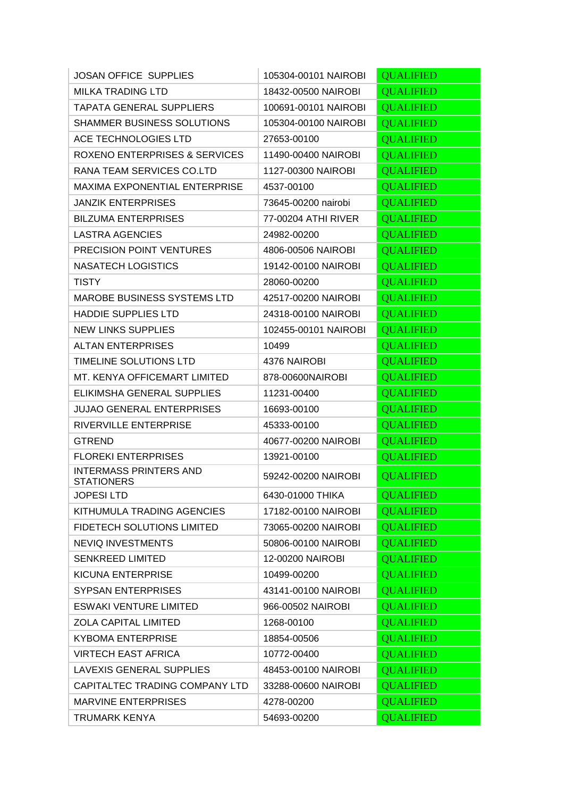| <b>JOSAN OFFICE SUPPLIES</b>                       | 105304-00101 NAIROBI | <b>QUALIFIED</b> |
|----------------------------------------------------|----------------------|------------------|
| <b>MILKA TRADING LTD</b>                           | 18432-00500 NAIROBI  | <b>QUALIFIED</b> |
| <b>TAPATA GENERAL SUPPLIERS</b>                    | 100691-00101 NAIROBI | <b>QUALIFIED</b> |
| <b>SHAMMER BUSINESS SOLUTIONS</b>                  | 105304-00100 NAIROBI | <b>QUALIFIED</b> |
| ACE TECHNOLOGIES LTD                               | 27653-00100          | <b>QUALIFIED</b> |
| <b>ROXENO ENTERPRISES &amp; SERVICES</b>           | 11490-00400 NAIROBI  | <b>QUALIFIED</b> |
| RANA TEAM SERVICES CO.LTD                          | 1127-00300 NAIROBI   | <b>QUALIFIED</b> |
| <b>MAXIMA EXPONENTIAL ENTERPRISE</b>               | 4537-00100           | <b>QUALIFIED</b> |
| <b>JANZIK ENTERPRISES</b>                          | 73645-00200 nairobi  | <b>QUALIFIED</b> |
| <b>BILZUMA ENTERPRISES</b>                         | 77-00204 ATHI RIVER  | <b>QUALIFIED</b> |
| <b>LASTRA AGENCIES</b>                             | 24982-00200          | <b>QUALIFIED</b> |
| <b>PRECISION POINT VENTURES</b>                    | 4806-00506 NAIROBI   | <b>QUALIFIED</b> |
| <b>NASATECH LOGISTICS</b>                          | 19142-00100 NAIROBI  | <b>QUALIFIED</b> |
| <b>TISTY</b>                                       | 28060-00200          | <b>QUALIFIED</b> |
| <b>MAROBE BUSINESS SYSTEMS LTD</b>                 | 42517-00200 NAIROBI  | <b>QUALIFIED</b> |
| <b>HADDIE SUPPLIES LTD</b>                         | 24318-00100 NAIROBI  | <b>QUALIFIED</b> |
| <b>NEW LINKS SUPPLIES</b>                          | 102455-00101 NAIROBI | <b>QUALIFIED</b> |
| <b>ALTAN ENTERPRISES</b>                           | 10499                | <b>QUALIFIED</b> |
| TIMELINE SOLUTIONS LTD                             | 4376 NAIROBI         | <b>QUALIFIED</b> |
| MT. KENYA OFFICEMART LIMITED                       | 878-00600NAIROBI     | <b>QUALIFIED</b> |
| ELIKIMSHA GENERAL SUPPLIES                         | 11231-00400          | <b>QUALIFIED</b> |
| <b>JUJAO GENERAL ENTERPRISES</b>                   | 16693-00100          | <b>QUALIFIED</b> |
| RIVERVILLE ENTERPRISE                              | 45333-00100          | <b>QUALIFIED</b> |
| <b>GTREND</b>                                      | 40677-00200 NAIROBI  | <b>QUALIFIED</b> |
| <b>FLOREKI ENTERPRISES</b>                         | 13921-00100          | <b>QUALIFIED</b> |
| <b>INTERMASS PRINTERS AND</b><br><b>STATIONERS</b> | 59242-00200 NAIROBI  | <b>QUALIFIED</b> |
| <b>JOPESILTD</b>                                   | 6430-01000 THIKA     | <b>QUALIFIED</b> |
| KITHUMULA TRADING AGENCIES                         | 17182-00100 NAIROBI  | <b>QUALIFIED</b> |
| FIDETECH SOLUTIONS LIMITED                         | 73065-00200 NAIROBI  | <b>QUALIFIED</b> |
| <b>NEVIQ INVESTMENTS</b>                           | 50806-00100 NAIROBI  | <b>QUALIFIED</b> |
| <b>SENKREED LIMITED</b>                            | 12-00200 NAIROBI     | <b>QUALIFIED</b> |
| <b>KICUNA ENTERPRISE</b>                           | 10499-00200          | <b>QUALIFIED</b> |
| <b>SYPSAN ENTERPRISES</b>                          | 43141-00100 NAIROBI  | <b>QUALIFIED</b> |
| <b>ESWAKI VENTURE LIMITED</b>                      | 966-00502 NAIROBI    | <b>QUALIFIED</b> |
| <b>ZOLA CAPITAL LIMITED</b>                        | 1268-00100           | <b>QUALIFIED</b> |
| <b>KYBOMA ENTERPRISE</b>                           | 18854-00506          | <b>QUALIFIED</b> |
| <b>VIRTECH EAST AFRICA</b>                         | 10772-00400          | <b>QUALIFIED</b> |
| LAVEXIS GENERAL SUPPLIES                           | 48453-00100 NAIROBI  | <b>QUALIFIED</b> |
| CAPITALTEC TRADING COMPANY LTD                     | 33288-00600 NAIROBI  | <b>QUALIFIED</b> |
| <b>MARVINE ENTERPRISES</b>                         | 4278-00200           | <b>QUALIFIED</b> |
| <b>TRUMARK KENYA</b>                               | 54693-00200          | <b>QUALIFIED</b> |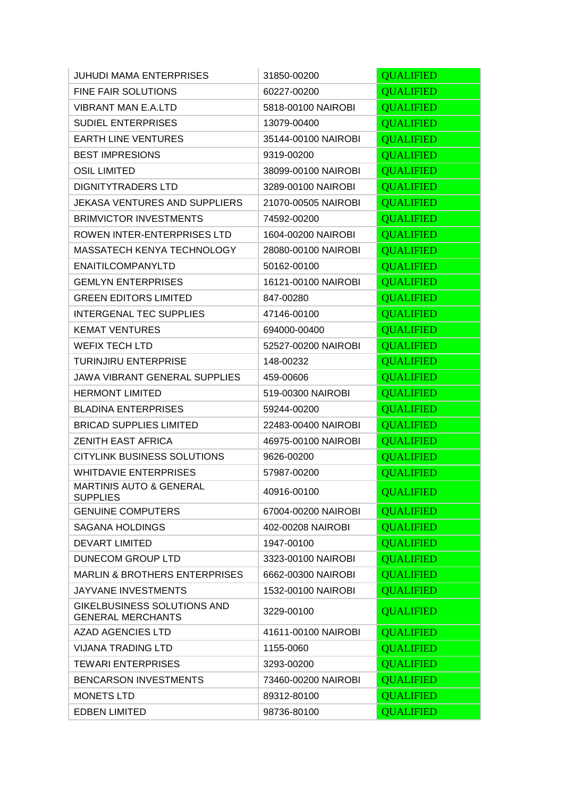| <b>JUHUDI MAMA ENTERPRISES</b>                          | 31850-00200         | <b>QUALIFIED</b> |
|---------------------------------------------------------|---------------------|------------------|
| FINE FAIR SOLUTIONS                                     | 60227-00200         | <b>QUALIFIED</b> |
| <b>VIBRANT MAN E.A.LTD</b>                              | 5818-00100 NAIROBI  | <b>QUALIFIED</b> |
| <b>SUDIEL ENTERPRISES</b>                               | 13079-00400         | <b>QUALIFIED</b> |
| <b>EARTH LINE VENTURES</b>                              | 35144-00100 NAIROBI | <b>QUALIFIED</b> |
| <b>BEST IMPRESIONS</b>                                  | 9319-00200          | <b>QUALIFIED</b> |
| <b>OSIL LIMITED</b>                                     | 38099-00100 NAIROBI | <b>QUALIFIED</b> |
| <b>DIGNITYTRADERS LTD</b>                               | 3289-00100 NAIROBI  | <b>QUALIFIED</b> |
| <b>JEKASA VENTURES AND SUPPLIERS</b>                    | 21070-00505 NAIROBI | <b>QUALIFIED</b> |
| <b>BRIMVICTOR INVESTMENTS</b>                           | 74592-00200         | <b>QUALIFIED</b> |
| ROWEN INTER-ENTERPRISES LTD                             | 1604-00200 NAIROBI  | <b>QUALIFIED</b> |
| MASSATECH KENYA TECHNOLOGY                              | 28080-00100 NAIROBI | <b>QUALIFIED</b> |
| <b>ENAITILCOMPANYLTD</b>                                | 50162-00100         | <b>QUALIFIED</b> |
| <b>GEMLYN ENTERPRISES</b>                               | 16121-00100 NAIROBI | <b>QUALIFIED</b> |
| <b>GREEN EDITORS LIMITED</b>                            | 847-00280           | <b>QUALIFIED</b> |
| <b>INTERGENAL TEC SUPPLIES</b>                          | 47146-00100         | <b>QUALIFIED</b> |
| <b>KEMAT VENTURES</b>                                   | 694000-00400        | <b>QUALIFIED</b> |
| <b>WEFIX TECH LTD</b>                                   | 52527-00200 NAIROBI | <b>QUALIFIED</b> |
| <b>TURINJIRU ENTERPRISE</b>                             | 148-00232           | <b>QUALIFIED</b> |
| <b>JAWA VIBRANT GENERAL SUPPLIES</b>                    | 459-00606           | <b>QUALIFIED</b> |
| <b>HERMONT LIMITED</b>                                  | 519-00300 NAIROBI   | <b>QUALIFIED</b> |
| <b>BLADINA ENTERPRISES</b>                              | 59244-00200         | <b>QUALIFIED</b> |
| <b>BRICAD SUPPLIES LIMITED</b>                          | 22483-00400 NAIROBI | <b>QUALIFIED</b> |
| <b>ZENITH EAST AFRICA</b>                               | 46975-00100 NAIROBI | <b>QUALIFIED</b> |
| <b>CITYLINK BUSINESS SOLUTIONS</b>                      | 9626-00200          | <b>QUALIFIED</b> |
| <b>WHITDAVIE ENTERPRISES</b>                            | 57987-00200         | <b>QUALIFIED</b> |
| <b>MARTINIS AUTO &amp; GENERAL</b><br><b>SUPPLIES</b>   | 40916-00100         | <b>QUALIFIED</b> |
| <b>GENUINE COMPUTERS</b>                                | 67004-00200 NAIROBI | <b>QUALIFIED</b> |
| <b>SAGANA HOLDINGS</b>                                  | 402-00208 NAIROBI   | <b>QUALIFIED</b> |
| <b>DEVART LIMITED</b>                                   | 1947-00100          | <b>QUALIFIED</b> |
| DUNECOM GROUP LTD                                       | 3323-00100 NAIROBI  | <b>QUALIFIED</b> |
| <b>MARLIN &amp; BROTHERS ENTERPRISES</b>                | 6662-00300 NAIROBI  | <b>QUALIFIED</b> |
| JAYVANE INVESTMENTS                                     | 1532-00100 NAIROBI  | <b>QUALIFIED</b> |
| GIKELBUSINESS SOLUTIONS AND<br><b>GENERAL MERCHANTS</b> | 3229-00100          | <b>QUALIFIED</b> |
| <b>AZAD AGENCIES LTD</b>                                | 41611-00100 NAIROBI | <b>QUALIFIED</b> |
| <b>VIJANA TRADING LTD</b>                               | 1155-0060           | <b>QUALIFIED</b> |
| <b>TEWARI ENTERPRISES</b>                               | 3293-00200          | <b>QUALIFIED</b> |
| <b>BENCARSON INVESTMENTS</b>                            | 73460-00200 NAIROBI | <b>QUALIFIED</b> |
| <b>MONETS LTD</b>                                       | 89312-80100         | <b>QUALIFIED</b> |
| <b>EDBEN LIMITED</b>                                    | 98736-80100         | <b>QUALIFIED</b> |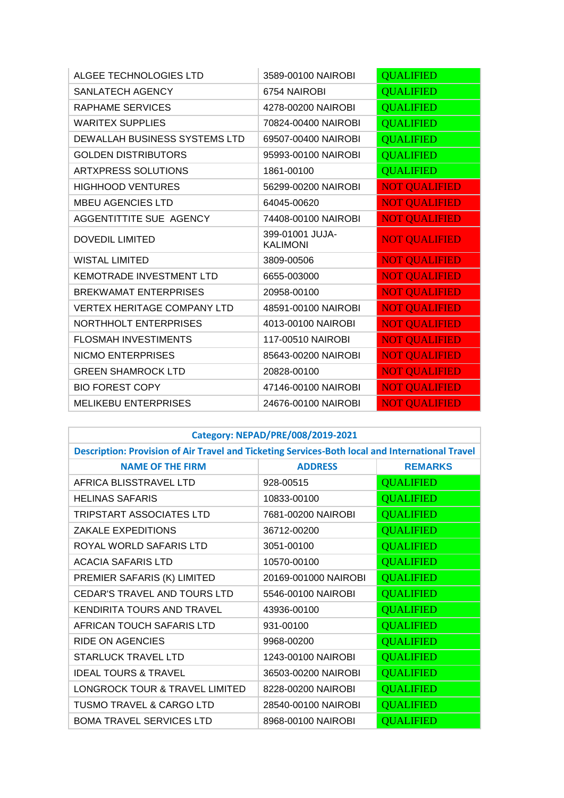| ALGEE TECHNOLOGIES LTD             | 3589-00100 NAIROBI                 | <b>QUALIFIED</b>     |
|------------------------------------|------------------------------------|----------------------|
| <b>SANLATECH AGENCY</b>            | 6754 NAIROBI                       | <b>QUALIFIED</b>     |
| <b>RAPHAME SERVICES</b>            | 4278-00200 NAIROBI                 | <b>QUALIFIED</b>     |
| <b>WARITEX SUPPLIES</b>            | 70824-00400 NAIROBI                | <b>QUALIFIED</b>     |
| DEWALLAH BUSINESS SYSTEMS LTD      | 69507-00400 NAIROBI                | <b>QUALIFIED</b>     |
| <b>GOLDEN DISTRIBUTORS</b>         | 95993-00100 NAIROBI                | <b>QUALIFIED</b>     |
| <b>ARTXPRESS SOLUTIONS</b>         | 1861-00100                         | <b>QUALIFIED</b>     |
| <b>HIGHHOOD VENTURES</b>           | 56299-00200 NAIROBI                | <b>NOT QUALIFIED</b> |
| <b>MBEU AGENCIES LTD</b>           | 64045-00620                        | <b>NOT QUALIFIED</b> |
| AGGENTITTITE SUE AGENCY            | 74408-00100 NAIROBI                | <b>NOT QUALIFIED</b> |
| <b>DOVEDIL LIMITED</b>             | 399-01001 JUJA-<br><b>KALIMONI</b> | <b>NOT QUALIFIED</b> |
| <b>WISTAL LIMITED</b>              | 3809-00506                         | <b>NOT QUALIFIED</b> |
| <b>KEMOTRADE INVESTMENT LTD</b>    | 6655-003000                        | <b>NOT QUALIFIED</b> |
| <b>BREKWAMAT ENTERPRISES</b>       | 20958-00100                        | <b>NOT QUALIFIED</b> |
| <b>VERTEX HERITAGE COMPANY LTD</b> | 48591-00100 NAIROBI                | <b>NOT QUALIFIED</b> |
| <b>NORTHHOLT ENTERPRISES</b>       | 4013-00100 NAIROBI                 | <b>NOT QUALIFIED</b> |
| <b>FLOSMAH INVESTIMENTS</b>        | 117-00510 NAIROBI                  | <b>NOT QUALIFIED</b> |
| <b>NICMO ENTERPRISES</b>           | 85643-00200 NAIROBI                | <b>NOT QUALIFIED</b> |
| <b>GREEN SHAMROCK LTD</b>          | 20828-00100                        | <b>NOT QUALIFIED</b> |
| <b>BIO FOREST COPY</b>             | 47146-00100 NAIROBI                | <b>NOT QUALIFIED</b> |
| <b>MELIKEBU ENTERPRISES</b>        | 24676-00100 NAIROBI                | <b>NOT QUALIFIED</b> |

| Category: NEPAD/PRE/008/2019-2021 |  |
|-----------------------------------|--|
|-----------------------------------|--|

| Description: Provision of Air Travel and Ticketing Services-Both local and International Travel |                      |                  |  |  |
|-------------------------------------------------------------------------------------------------|----------------------|------------------|--|--|
| <b>NAME OF THE FIRM</b>                                                                         | <b>ADDRESS</b>       | <b>REMARKS</b>   |  |  |
| AFRICA BLISSTRAVEL LTD                                                                          | 928-00515            | <b>QUALIFIED</b> |  |  |
| <b>HELINAS SAFARIS</b>                                                                          | 10833-00100          | <b>QUALIFIED</b> |  |  |
| <b>TRIPSTART ASSOCIATES LTD</b>                                                                 | 7681-00200 NAIROBI   | <b>QUALIFIED</b> |  |  |
| ZAKALE EXPEDITIONS                                                                              | 36712-00200          | <b>QUALIFIED</b> |  |  |
| ROYAL WORLD SAFARIS LTD                                                                         | 3051-00100           | <b>QUALIFIED</b> |  |  |
| ACACIA SAFARIS LTD                                                                              | 10570-00100          | <b>QUALIFIED</b> |  |  |
| PREMIER SAFARIS (K) LIMITED                                                                     | 20169-001000 NAIROBI | <b>QUALIFIED</b> |  |  |
| CEDAR'S TRAVEL AND TOURS LTD                                                                    | 5546-00100 NAIROBI   | <b>QUALIFIED</b> |  |  |
| KENDIRITA TOURS AND TRAVEL                                                                      | 43936-00100          | <b>QUALIFIED</b> |  |  |
| AFRICAN TOUCH SAFARIS LTD                                                                       | 931-00100            | <b>QUALIFIED</b> |  |  |
| RIDE ON AGENCIES                                                                                | 9968-00200           | <b>QUALIFIED</b> |  |  |
| <b>STARLUCK TRAVEL LTD</b>                                                                      | 1243-00100 NAIROBI   | <b>QUALIFIED</b> |  |  |
| <b>IDEAL TOURS &amp; TRAVEL</b>                                                                 | 36503-00200 NAIROBI  | <b>QUALIFIED</b> |  |  |
| LONGROCK TOUR & TRAVEL LIMITED                                                                  | 8228-00200 NAIROBI   | <b>QUALIFIED</b> |  |  |
| <b>TUSMO TRAVEL &amp; CARGO LTD</b>                                                             | 28540-00100 NAIROBI  | <b>QUALIFIED</b> |  |  |
| <b>BOMA TRAVEL SERVICES LTD</b>                                                                 | 8968-00100 NAIROBI   | <b>QUALIFIED</b> |  |  |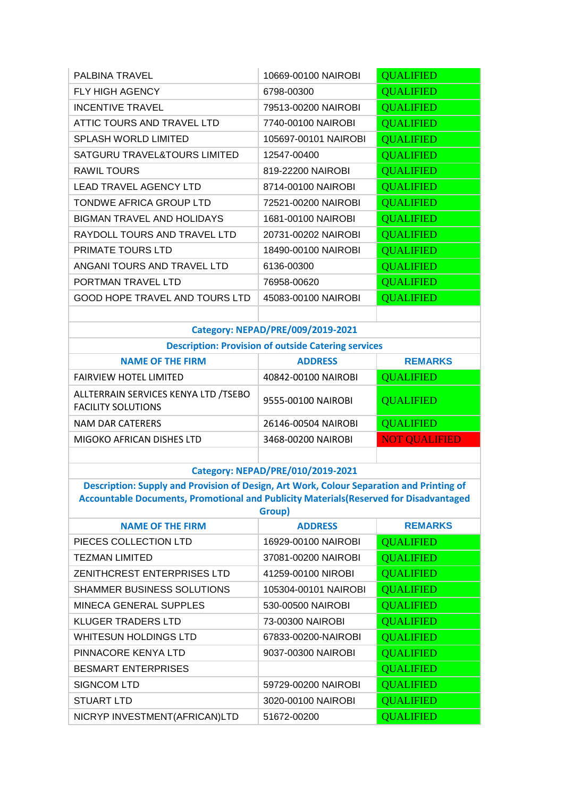| PALBINA TRAVEL                 | 10669-00100 NAIROBI  | <b>QUALIFIED</b> |
|--------------------------------|----------------------|------------------|
| <b>FLY HIGH AGENCY</b>         | 6798-00300           | <b>QUALIFIED</b> |
| <b>INCENTIVE TRAVEL</b>        | 79513-00200 NAIROBI  | <b>QUALIFIED</b> |
| ATTIC TOURS AND TRAVEL LTD     | 7740-00100 NAIROBI   | <b>QUALIFIED</b> |
| <b>SPLASH WORLD LIMITED</b>    | 105697-00101 NAIROBI | <b>QUALIFIED</b> |
| SATGURU TRAVEL&TOURS LIMITED   | 12547-00400          | <b>QUALIFIED</b> |
| RAWIL TOURS                    | 819-22200 NAIROBI    | <b>QUALIFIED</b> |
| <b>LEAD TRAVEL AGENCY LTD</b>  | 8714-00100 NAIROBI   | <b>QUALIFIED</b> |
| TONDWE AFRICA GROUP LTD        | 72521-00200 NAIROBI  | <b>QUALIFIED</b> |
| BIGMAN TRAVEL AND HOLIDAYS     | 1681-00100 NAIROBI   | <b>QUALIFIED</b> |
| RAYDOLL TOURS AND TRAVEL LTD   | 20731-00202 NAIROBI  | <b>QUALIFIED</b> |
| <b>PRIMATE TOURS LTD</b>       | 18490-00100 NAIROBI  | <b>QUALIFIED</b> |
| ANGANI TOURS AND TRAVEL LTD    | 6136-00300           | <b>QUALIFIED</b> |
| PORTMAN TRAVEL LTD             | 76958-00620          | <b>QUALIFIED</b> |
| GOOD HOPE TRAVEL AND TOURS LTD | 45083-00100 NAIROBI  | <b>QUALIFIED</b> |
|                                |                      |                  |

## **Category: NEPAD/PRE/009/2019-2021**

| <b>Description: Provision of outside Catering services</b> |  |  |  |
|------------------------------------------------------------|--|--|--|
|                                                            |  |  |  |

| <b>NAME OF THE FIRM</b>                                           | <b>ADDRESS</b>      | <b>REMARKS</b>       |
|-------------------------------------------------------------------|---------------------|----------------------|
| <b>FAIRVIEW HOTEL LIMITED</b>                                     | 40842-00100 NAIROBI | <b>QUALIFIED</b>     |
| ALLTERRAIN SERVICES KENYA LTD /TSEBO<br><b>FACILITY SOLUTIONS</b> | 9555-00100 NAIROBI  | <b>QUALIFIED</b>     |
| NAM DAR CATERERS                                                  | 26146-00504 NAIROBI | <b>QUALIFIED</b>     |
| MIGOKO AFRICAN DISHES LTD                                         | 3468-00200 NAIROBI  | <b>NOT QUALIFIED</b> |
|                                                                   |                     |                      |

### **Category: NEPAD/PRE/010/2019-2021**

**Description: Supply and Provision of Design, Art Work, Colour Separation and Printing of Accountable Documents, Promotional and Publicity Materials(Reserved for Disadvantaged Group)**

| <b>NAME OF THE FIRM</b>            | <b>ADDRESS</b>       | <b>REMARKS</b>   |
|------------------------------------|----------------------|------------------|
| PIECES COLLECTION LTD              | 16929-00100 NAIROBI  | <b>QUALIFIED</b> |
| <b>TEZMAN LIMITED</b>              | 37081-00200 NAIROBI  | <b>QUALIFIED</b> |
| <b>ZENITHCREST ENTERPRISES LTD</b> | 41259-00100 NIROBI   | <b>QUALIFIED</b> |
| SHAMMER BUSINESS SOLUTIONS         | 105304-00101 NAIROBI | <b>QUALIFIED</b> |
| MINECA GENERAL SUPPLES             | 530-00500 NAIROBI    | <b>QUALIFIED</b> |
| <b>KLUGER TRADERS LTD</b>          | 73-00300 NAIROBI     | <b>QUALIFIED</b> |
| <b>WHITESUN HOLDINGS LTD</b>       | 67833-00200-NAIROBI  | <b>QUALIFIED</b> |
| PINNACORE KENYA LTD                | 9037-00300 NAIROBI   | <b>QUALIFIED</b> |
| <b>BESMART ENTERPRISES</b>         |                      | <b>QUALIFIED</b> |
| <b>SIGNCOM LTD</b>                 | 59729-00200 NAIROBI  | <b>QUALIFIED</b> |
| <b>STUART LTD</b>                  | 3020-00100 NAIROBI   | <b>QUALIFIED</b> |
| NICRYP INVESTMENT(AFRICAN)LTD      | 51672-00200          | <b>OUALIFIED</b> |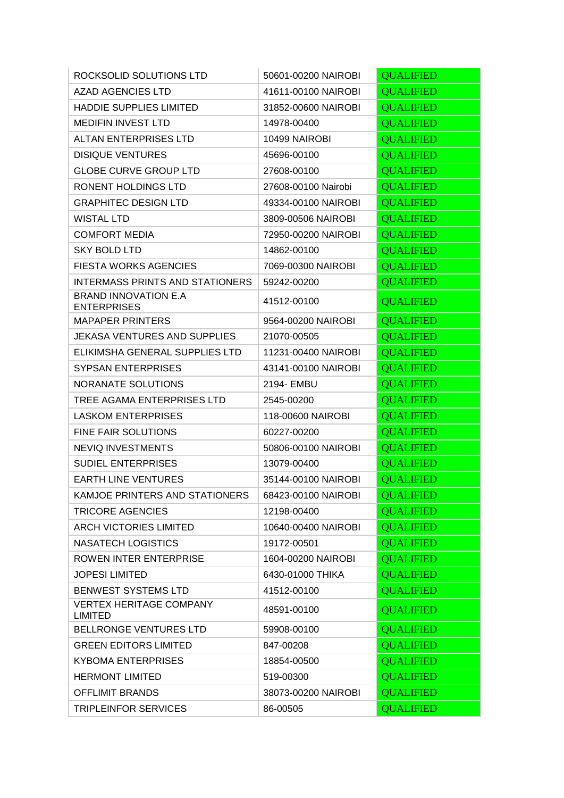| ROCKSOLID SOLUTIONS LTD                           | 50601-00200 NAIROBI | <b>QUALIFIED</b> |
|---------------------------------------------------|---------------------|------------------|
| <b>AZAD AGENCIES LTD</b>                          | 41611-00100 NAIROBI | <b>QUALIFIED</b> |
| <b>HADDIE SUPPLIES LIMITED</b>                    | 31852-00600 NAIROBI | <b>QUALIFIED</b> |
| <b>MEDIFIN INVEST LTD</b>                         | 14978-00400         | <b>QUALIFIED</b> |
| <b>ALTAN ENTERPRISES LTD</b>                      | 10499 NAIROBI       | <b>QUALIFIED</b> |
| <b>DISIQUE VENTURES</b>                           | 45696-00100         | <b>QUALIFIED</b> |
| <b>GLOBE CURVE GROUP LTD</b>                      | 27608-00100         | <b>QUALIFIED</b> |
| RONENT HOLDINGS LTD                               | 27608-00100 Nairobi | <b>QUALIFIED</b> |
| <b>GRAPHITEC DESIGN LTD</b>                       | 49334-00100 NAIROBI | <b>QUALIFIED</b> |
| <b>WISTAL LTD</b>                                 | 3809-00506 NAIROBI  | <b>QUALIFIED</b> |
| <b>COMFORT MEDIA</b>                              | 72950-00200 NAIROBI | <b>QUALIFIED</b> |
| <b>SKY BOLD LTD</b>                               | 14862-00100         | <b>QUALIFIED</b> |
| <b>FIESTA WORKS AGENCIES</b>                      | 7069-00300 NAIROBI  | <b>QUALIFIED</b> |
| <b>INTERMASS PRINTS AND STATIONERS</b>            | 59242-00200         | <b>QUALIFIED</b> |
| <b>BRAND INNOVATION E.A</b><br><b>ENTERPRISES</b> | 41512-00100         | <b>QUALIFIED</b> |
| <b>MAPAPER PRINTERS</b>                           | 9564-00200 NAIROBI  | <b>QUALIFIED</b> |
| <b>JEKASA VENTURES AND SUPPLIES</b>               | 21070-00505         | <b>QUALIFIED</b> |
| ELIKIMSHA GENERAL SUPPLIES LTD                    | 11231-00400 NAIROBI | <b>QUALIFIED</b> |
| <b>SYPSAN ENTERPRISES</b>                         | 43141-00100 NAIROBI | <b>QUALIFIED</b> |
| NORANATE SOLUTIONS                                | 2194- EMBU          | <b>QUALIFIED</b> |
| TREE AGAMA ENTERPRISES LTD                        | 2545-00200          | <b>QUALIFIED</b> |
| <b>LASKOM ENTERPRISES</b>                         | 118-00600 NAIROBI   | <b>QUALIFIED</b> |
| <b>FINE FAIR SOLUTIONS</b>                        | 60227-00200         | <b>QUALIFIED</b> |
| <b>NEVIQ INVESTMENTS</b>                          | 50806-00100 NAIROBI | <b>QUALIFIED</b> |
| <b>SUDIEL ENTERPRISES</b>                         | 13079-00400         | <b>QUALIFIED</b> |
| <b>EARTH LINE VENTURES</b>                        | 35144-00100 NAIROBI | <b>QUALIFIED</b> |
| KAMJOE PRINTERS AND STATIONERS                    | 68423-00100 NAIROBI | <b>QUALIFIED</b> |
| <b>TRICORE AGENCIES</b>                           | 12198-00400         | <b>QUALIFIED</b> |
| <b>ARCH VICTORIES LIMITED</b>                     | 10640-00400 NAIROBI | <b>QUALIFIED</b> |
| <b>NASATECH LOGISTICS</b>                         | 19172-00501         | <b>QUALIFIED</b> |
| ROWEN INTER ENTERPRISE                            | 1604-00200 NAIROBI  | <b>OUALIFIED</b> |
| <b>JOPESI LIMITED</b>                             | 6430-01000 THIKA    | <b>QUALIFIED</b> |
| <b>BENWEST SYSTEMS LTD</b>                        | 41512-00100         | <b>QUALIFIED</b> |
| <b>VERTEX HERITAGE COMPANY</b><br><b>LIMITED</b>  | 48591-00100         | <b>QUALIFIED</b> |
| BELLRONGE VENTURES LTD                            | 59908-00100         | <b>QUALIFIED</b> |
| <b>GREEN EDITORS LIMITED</b>                      | 847-00208           | <b>QUALIFIED</b> |
| <b>KYBOMA ENTERPRISES</b>                         | 18854-00500         | <b>QUALIFIED</b> |
| <b>HERMONT LIMITED</b>                            | 519-00300           | <b>QUALIFIED</b> |
| <b>OFFLIMIT BRANDS</b>                            | 38073-00200 NAIROBI | <b>QUALIFIED</b> |
| TRIPLEINFOR SERVICES                              | 86-00505            | <b>QUALIFIED</b> |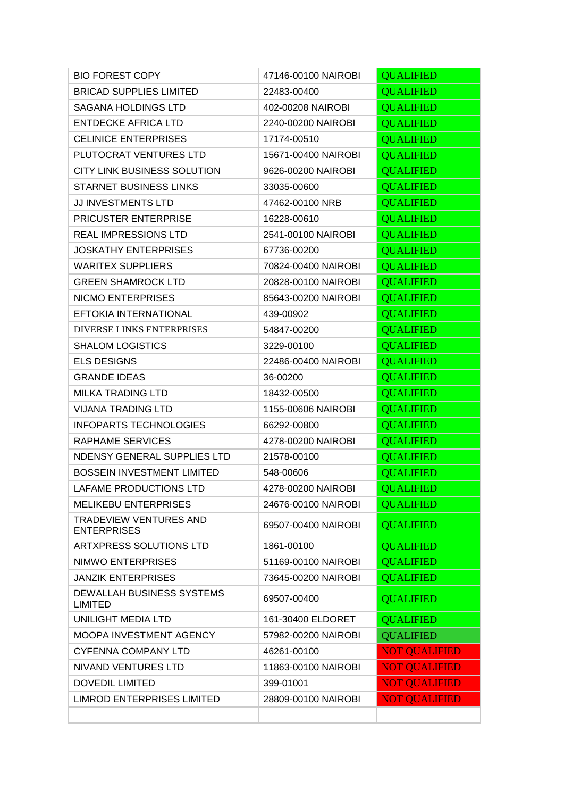| <b>BIO FOREST COPY</b>                              | 47146-00100 NAIROBI | <b>QUALIFIED</b>     |
|-----------------------------------------------------|---------------------|----------------------|
| <b>BRICAD SUPPLIES LIMITED</b>                      | 22483-00400         | <b>QUALIFIED</b>     |
| <b>SAGANA HOLDINGS LTD</b>                          | 402-00208 NAIROBI   | <b>QUALIFIED</b>     |
| <b>ENTDECKE AFRICA LTD</b>                          | 2240-00200 NAIROBI  | <b>QUALIFIED</b>     |
| <b>CELINICE ENTERPRISES</b>                         | 17174-00510         | <b>QUALIFIED</b>     |
| PLUTOCRAT VENTURES LTD                              | 15671-00400 NAIROBI | <b>QUALIFIED</b>     |
| CITY LINK BUSINESS SOLUTION                         | 9626-00200 NAIROBI  | <b>QUALIFIED</b>     |
| <b>STARNET BUSINESS LINKS</b>                       | 33035-00600         | <b>QUALIFIED</b>     |
| JJ INVESTMENTS LTD                                  | 47462-00100 NRB     | <b>QUALIFIED</b>     |
| <b>PRICUSTER ENTERPRISE</b>                         | 16228-00610         | <b>QUALIFIED</b>     |
| <b>REAL IMPRESSIONS LTD</b>                         | 2541-00100 NAIROBI  | <b>QUALIFIED</b>     |
| <b>JOSKATHY ENTERPRISES</b>                         | 67736-00200         | <b>QUALIFIED</b>     |
| <b>WARITEX SUPPLIERS</b>                            | 70824-00400 NAIROBI | <b>QUALIFIED</b>     |
| <b>GREEN SHAMROCK LTD</b>                           | 20828-00100 NAIROBI | <b>QUALIFIED</b>     |
| <b>NICMO ENTERPRISES</b>                            | 85643-00200 NAIROBI | <b>QUALIFIED</b>     |
| EFTOKIA INTERNATIONAL                               | 439-00902           | <b>QUALIFIED</b>     |
| <b>DIVERSE LINKS ENTERPRISES</b>                    | 54847-00200         | <b>QUALIFIED</b>     |
| <b>SHALOM LOGISTICS</b>                             | 3229-00100          | <b>QUALIFIED</b>     |
| <b>ELS DESIGNS</b>                                  | 22486-00400 NAIROBI | <b>QUALIFIED</b>     |
| <b>GRANDE IDEAS</b>                                 | 36-00200            | <b>QUALIFIED</b>     |
| <b>MILKA TRADING LTD</b>                            | 18432-00500         | <b>QUALIFIED</b>     |
| <b>VIJANA TRADING LTD</b>                           | 1155-00606 NAIROBI  | <b>QUALIFIED</b>     |
| <b>INFOPARTS TECHNOLOGIES</b>                       | 66292-00800         | <b>QUALIFIED</b>     |
| RAPHAME SERVICES                                    | 4278-00200 NAIROBI  | <b>QUALIFIED</b>     |
| NDENSY GENERAL SUPPLIES LTD                         | 21578-00100         | <b>QUALIFIED</b>     |
| <b>BOSSEIN INVESTMENT LIMITED</b>                   | 548-00606           | <b>QUALIFIED</b>     |
| LAFAME PRODUCTIONS LTD                              | 4278-00200 NAIROBI  | <b>OUALIFIED</b>     |
| <b>MELIKEBU ENTERPRISES</b>                         | 24676-00100 NAIROBI | <b>QUALIFIED</b>     |
| <b>TRADEVIEW VENTURES AND</b><br><b>ENTERPRISES</b> | 69507-00400 NAIROBI | <b>QUALIFIED</b>     |
| ARTXPRESS SOLUTIONS LTD                             | 1861-00100          | <b>QUALIFIED</b>     |
| NIMWO ENTERPRISES                                   | 51169-00100 NAIROBI | <b>OUALIFIED</b>     |
| <b>JANZIK ENTERPRISES</b>                           | 73645-00200 NAIROBI | <b>QUALIFIED</b>     |
| DEWALLAH BUSINESS SYSTEMS<br><b>LIMITED</b>         | 69507-00400         | <b>QUALIFIED</b>     |
| UNILIGHT MEDIA LTD                                  | 161-30400 ELDORET   | <b>QUALIFIED</b>     |
| MOOPA INVESTMENT AGENCY                             | 57982-00200 NAIROBI | <b>QUALIFIED</b>     |
| <b>CYFENNA COMPANY LTD</b>                          | 46261-00100         | <b>NOT QUALIFIED</b> |
| NIVAND VENTURES LTD                                 | 11863-00100 NAIROBI | <b>NOT QUALIFIED</b> |
| <b>DOVEDIL LIMITED</b>                              | 399-01001           | <b>NOT QUALIFIED</b> |
| <b>LIMROD ENTERPRISES LIMITED</b>                   | 28809-00100 NAIROBI | <b>NOT QUALIFIED</b> |
|                                                     |                     |                      |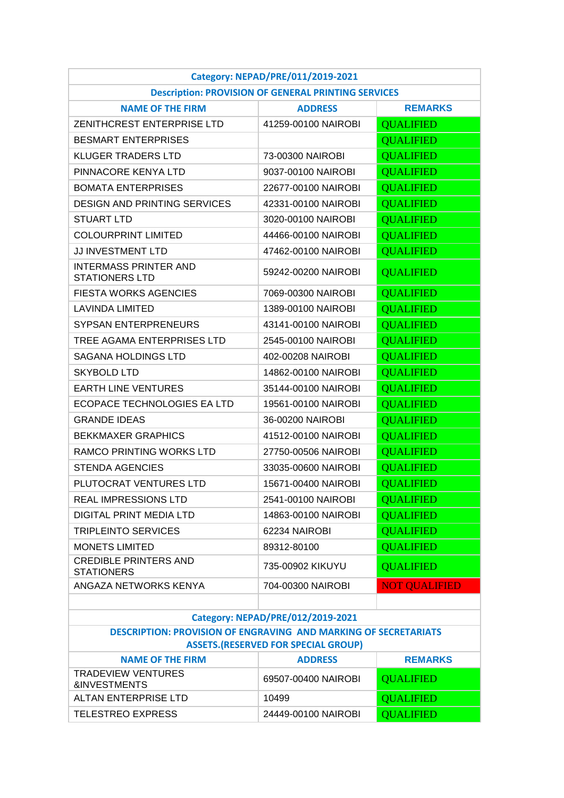| Category: NEPAD/PRE/011/2019-2021                                                                                    |                                                            |                      |  |
|----------------------------------------------------------------------------------------------------------------------|------------------------------------------------------------|----------------------|--|
|                                                                                                                      | <b>Description: PROVISION OF GENERAL PRINTING SERVICES</b> |                      |  |
| <b>NAME OF THE FIRM</b>                                                                                              | <b>ADDRESS</b>                                             | <b>REMARKS</b>       |  |
| ZENITHCREST ENTERPRISE LTD                                                                                           | 41259-00100 NAIROBI                                        | <b>QUALIFIED</b>     |  |
| <b>BESMART ENTERPRISES</b>                                                                                           |                                                            | <b>QUALIFIED</b>     |  |
| <b>KLUGER TRADERS LTD</b>                                                                                            | 73-00300 NAIROBI                                           | <b>QUALIFIED</b>     |  |
| PINNACORE KENYA LTD                                                                                                  | 9037-00100 NAIROBI                                         | <b>QUALIFIED</b>     |  |
| <b>BOMATA ENTERPRISES</b>                                                                                            | 22677-00100 NAIROBI                                        | <b>QUALIFIED</b>     |  |
| <b>DESIGN AND PRINTING SERVICES</b>                                                                                  | 42331-00100 NAIROBI                                        | <b>QUALIFIED</b>     |  |
| <b>STUART LTD</b>                                                                                                    | 3020-00100 NAIROBI                                         | <b>QUALIFIED</b>     |  |
| <b>COLOURPRINT LIMITED</b>                                                                                           | 44466-00100 NAIROBI                                        | <b>QUALIFIED</b>     |  |
| <b>JJ INVESTMENT LTD</b>                                                                                             | 47462-00100 NAIROBI                                        | <b>QUALIFIED</b>     |  |
| <b>INTERMASS PRINTER AND</b><br><b>STATIONERS LTD</b>                                                                | 59242-00200 NAIROBI                                        | <b>QUALIFIED</b>     |  |
| <b>FIESTA WORKS AGENCIES</b>                                                                                         | 7069-00300 NAIROBI                                         | <b>QUALIFIED</b>     |  |
| <b>LAVINDA LIMITED</b>                                                                                               | 1389-00100 NAIROBI                                         | <b>QUALIFIED</b>     |  |
| <b>SYPSAN ENTERPRENEURS</b>                                                                                          | 43141-00100 NAIROBI                                        | <b>QUALIFIED</b>     |  |
| TREE AGAMA ENTERPRISES LTD                                                                                           | 2545-00100 NAIROBI                                         | <b>OUALIFIED</b>     |  |
| <b>SAGANA HOLDINGS LTD</b>                                                                                           | 402-00208 NAIROBI                                          | <b>QUALIFIED</b>     |  |
| <b>SKYBOLD LTD</b>                                                                                                   | 14862-00100 NAIROBI                                        | <b>QUALIFIED</b>     |  |
| <b>EARTH LINE VENTURES</b>                                                                                           | 35144-00100 NAIROBI                                        | <b>QUALIFIED</b>     |  |
| ECOPACE TECHNOLOGIES EA LTD                                                                                          | 19561-00100 NAIROBI                                        | <b>QUALIFIED</b>     |  |
| <b>GRANDE IDEAS</b>                                                                                                  | 36-00200 NAIROBI                                           | <b>QUALIFIED</b>     |  |
| <b>BEKKMAXER GRAPHICS</b>                                                                                            | 41512-00100 NAIROBI                                        | <b>OUALIFIED</b>     |  |
| RAMCO PRINTING WORKS LTD                                                                                             | 27750-00506 NAIROBI                                        | <b>QUALIFIED</b>     |  |
| <b>STENDA AGENCIES</b>                                                                                               | 33035-00600 NAIROBI                                        | <b>QUALIFIED</b>     |  |
| PLUTOCRAT VENTURES LTD                                                                                               | 15671-00400 NAIROBI                                        | <b>QUALIFIED</b>     |  |
| <b>REAL IMPRESSIONS LTD</b>                                                                                          | 2541-00100 NAIROBI                                         | <b>OUALIFIED</b>     |  |
| <b>DIGITAL PRINT MEDIA LTD</b>                                                                                       | 14863-00100 NAIROBI                                        | <b>QUALIFIED</b>     |  |
| <b>TRIPLEINTO SERVICES</b>                                                                                           | 62234 NAIROBI                                              | <b>QUALIFIED</b>     |  |
| <b>MONETS LIMITED</b>                                                                                                | 89312-80100                                                | <b>QUALIFIED</b>     |  |
| <b>CREDIBLE PRINTERS AND</b><br><b>STATIONERS</b>                                                                    | 735-00902 KIKUYU                                           | <b>QUALIFIED</b>     |  |
| ANGAZA NETWORKS KENYA                                                                                                | 704-00300 NAIROBI                                          | <b>NOT QUALIFIED</b> |  |
|                                                                                                                      |                                                            |                      |  |
| Category: NEPAD/PRE/012/2019-2021                                                                                    |                                                            |                      |  |
| <b>DESCRIPTION: PROVISION OF ENGRAVING AND MARKING OF SECRETARIATS</b><br><b>ASSETS.(RESERVED FOR SPECIAL GROUP)</b> |                                                            |                      |  |
| <b>NAME OF THE FIRM</b>                                                                                              | <b>ADDRESS</b>                                             | <b>REMARKS</b>       |  |
| <b>TRADEVIEW VENTURES</b><br><b>&amp;INVESTMENTS</b>                                                                 | 69507-00400 NAIROBI                                        | <b>QUALIFIED</b>     |  |
| ALTAN ENTERPRISE LTD                                                                                                 | 10499                                                      | <b>QUALIFIED</b>     |  |
| <b>TELESTREO EXPRESS</b>                                                                                             | 24449-00100 NAIROBI                                        | <b>QUALIFIED</b>     |  |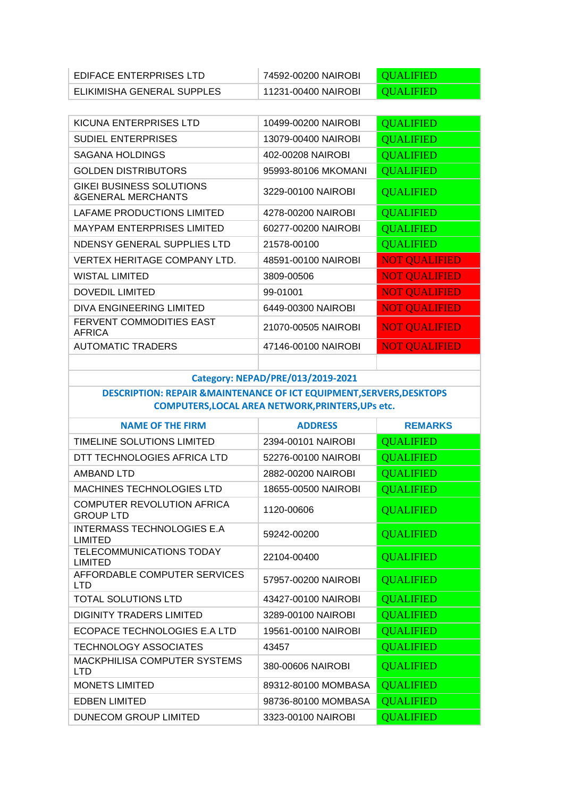| EDIFACE ENTERPRISES LTD    | 74592-00200 NAIROBI | <b>CUALIFIED</b> |
|----------------------------|---------------------|------------------|
| ELIKIMISHA GENERAL SUPPLES | 11231-00400 NAIROBI | <b>CUALIFIED</b> |

| KICUNA ENTERPRISES LTD                                           | 10499-00200 NAIROBI | <b>QUALIFIED</b>     |
|------------------------------------------------------------------|---------------------|----------------------|
| <b>SUDIEL ENTERPRISES</b>                                        | 13079-00400 NAIROBI | <b>QUALIFIED</b>     |
| SAGANA HOLDINGS                                                  | 402-00208 NAIROBI   | <b>QUALIFIED</b>     |
| <b>GOLDEN DISTRIBUTORS</b>                                       | 95993-80106 MKOMANI | <b>QUALIFIED</b>     |
| <b>GIKEI BUSINESS SOLUTIONS</b><br><b>&amp;GENERAL MERCHANTS</b> | 3229-00100 NAIROBI  | <b>QUALIFIED</b>     |
| LAFAME PRODUCTIONS LIMITED                                       | 4278-00200 NAIROBI  | <b>QUALIFIED</b>     |
| <b>MAYPAM ENTERPRISES LIMITED</b>                                | 60277-00200 NAIROBI | <b>QUALIFIED</b>     |
| NDENSY GENERAL SUPPLIES LTD                                      | 21578-00100         | <b>QUALIFIED</b>     |
| <b>VERTEX HERITAGE COMPANY LTD.</b>                              | 48591-00100 NAIROBI | <b>NOT QUALIFIED</b> |
| WISTAL LIMITED                                                   | 3809-00506          | <b>NOT QUALIFIED</b> |
| <b>DOVEDIL LIMITED</b>                                           | 99-01001            | <b>NOT QUALIFIED</b> |
| DIVA ENGINEERING LIMITED                                         | 6449-00300 NAIROBI  | <b>NOT QUALIFIED</b> |
| <b>FERVENT COMMODITIES EAST</b><br>AFRICA                        | 21070-00505 NAIROBI | <b>NOT QUALIFIED</b> |
| <b>AUTOMATIC TRADERS</b>                                         | 47146-00100 NAIROBI | <b>NOT QUALIFIED</b> |
|                                                                  |                     |                      |

### **Category: NEPAD/PRE/013/2019-2021**

## **DESCRIPTION: REPAIR &MAINTENANCE OF ICT EQUIPMENT,SERVERS,DESKTOPS COMPUTERS,LOCAL AREA NETWORK,PRINTERS,UPs etc.**

| <b>NAME OF THE FIRM</b>                           | <b>ADDRESS</b>      | <b>REMARKS</b>   |
|---------------------------------------------------|---------------------|------------------|
| TIMELINE SOLUTIONS LIMITED                        | 2394-00101 NAIROBI  | <b>QUALIFIED</b> |
| DTT TECHNOLOGIES AFRICA LTD                       | 52276-00100 NAIROBI | <b>QUALIFIED</b> |
| AMBAND LTD                                        | 2882-00200 NAIROBI  | <b>QUALIFIED</b> |
| <b>MACHINES TECHNOLOGIES LTD</b>                  | 18655-00500 NAIROBI | <b>QUALIFIED</b> |
| COMPUTER REVOLUTION AFRICA<br><b>GROUP LTD</b>    | 1120-00606          | <b>QUALIFIED</b> |
| INTERMASS TECHNOLOGIES E.A<br><b>LIMITED</b>      | 59242-00200         | <b>QUALIFIED</b> |
| TELECOMMUNICATIONS TODAY<br>LIMITED               | 22104-00400         | <b>QUALIFIED</b> |
| AFFORDABLE COMPUTER SERVICES<br>LTD               | 57957-00200 NAIROBI | <b>QUALIFIED</b> |
| TOTAL SOLUTIONS LTD                               | 43427-00100 NAIROBI | <b>QUALIFIED</b> |
| <b>DIGINITY TRADERS LIMITED</b>                   | 3289-00100 NAIROBI  | <b>QUALIFIED</b> |
| ECOPACE TECHNOLOGIES E.A LTD                      | 19561-00100 NAIROBI | <b>QUALIFIED</b> |
| <b>TECHNOLOGY ASSOCIATES</b>                      | 43457               | <b>QUALIFIED</b> |
| <b>MACKPHILISA COMPUTER SYSTEMS</b><br><b>LTD</b> | 380-00606 NAIROBI   | <b>QUALIFIED</b> |
| <b>MONETS LIMITED</b>                             | 89312-80100 MOMBASA | <b>QUALIFIED</b> |
| <b>EDBEN LIMITED</b>                              | 98736-80100 MOMBASA | <b>QUALIFIED</b> |
| DUNECOM GROUP LIMITED                             | 3323-00100 NAIROBI  | <b>QUALIFIED</b> |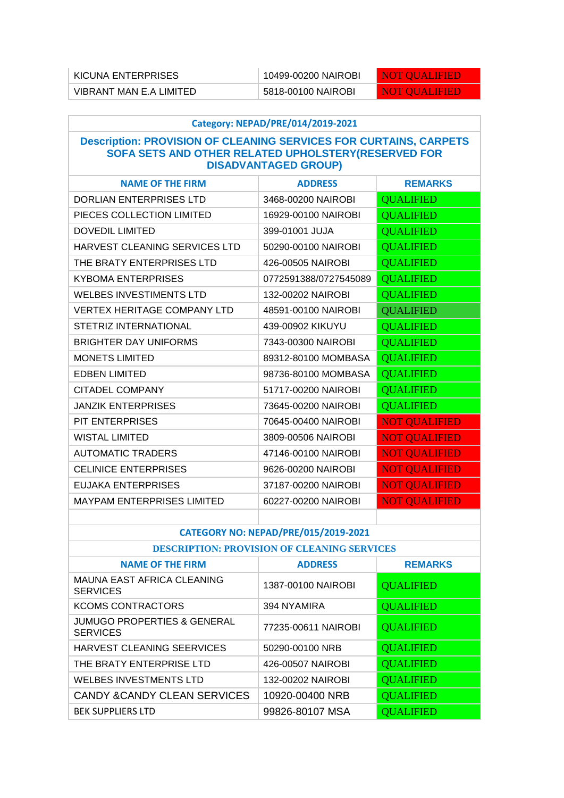| KICUNA ENTERPRISES      | 10499-00200 NAIROBI | <b>ENOT OUALIFIED</b> |
|-------------------------|---------------------|-----------------------|
| VIBRANT MAN E.A LIMITED | 5818-00100 NAIROBI  | NOT OUALIFIED         |

| Category: NEPAD/PRE/014/2019-2021                                                                                                                              |                       |                      |
|----------------------------------------------------------------------------------------------------------------------------------------------------------------|-----------------------|----------------------|
| <b>Description: PROVISION OF CLEANING SERVICES FOR CURTAINS, CARPETS</b><br>SOFA SETS AND OTHER RELATED UPHOLSTERY(RESERVED FOR<br><b>DISADVANTAGED GROUP)</b> |                       |                      |
| <b>NAME OF THE FIRM</b>                                                                                                                                        | <b>ADDRESS</b>        | <b>REMARKS</b>       |
| <b>DORLIAN ENTERPRISES LTD</b>                                                                                                                                 | 3468-00200 NAIROBI    | <b>QUALIFIED</b>     |
| PIECES COLLECTION LIMITED                                                                                                                                      | 16929-00100 NAIROBI   | <b>QUALIFIED</b>     |
| <b>DOVEDIL LIMITED</b>                                                                                                                                         | 399-01001 JUJA        | <b>QUALIFIED</b>     |
| HARVEST CLEANING SERVICES LTD                                                                                                                                  | 50290-00100 NAIROBI   | <b>QUALIFIED</b>     |
| THE BRATY ENTERPRISES LTD                                                                                                                                      | 426-00505 NAIROBI     | <b>QUALIFIED</b>     |
| <b>KYBOMA ENTERPRISES</b>                                                                                                                                      | 0772591388/0727545089 | <b>QUALIFIED</b>     |
| <b>WELBES INVESTIMENTS LTD</b>                                                                                                                                 | 132-00202 NAIROBI     | <b>QUALIFIED</b>     |
| <b>VERTEX HERITAGE COMPANY LTD</b>                                                                                                                             | 48591-00100 NAIROBI   | <b>QUALIFIED</b>     |
| STETRIZ INTERNATIONAL                                                                                                                                          | 439-00902 KIKUYU      | <b>QUALIFIED</b>     |
| <b>BRIGHTER DAY UNIFORMS</b>                                                                                                                                   | 7343-00300 NAIROBI    | <b>QUALIFIED</b>     |
| <b>MONETS LIMITED</b>                                                                                                                                          | 89312-80100 MOMBASA   | <b>QUALIFIED</b>     |
| <b>EDBEN LIMITED</b>                                                                                                                                           | 98736-80100 MOMBASA   | <b>QUALIFIED</b>     |
| CITADEL COMPANY                                                                                                                                                | 51717-00200 NAIROBI   | <b>QUALIFIED</b>     |
| <b>JANZIK ENTERPRISES</b>                                                                                                                                      | 73645-00200 NAIROBI   | <b>QUALIFIED</b>     |
| <b>PIT ENTERPRISES</b>                                                                                                                                         | 70645-00400 NAIROBI   | <b>NOT QUALIFIED</b> |
| <b>WISTAL LIMITED</b>                                                                                                                                          | 3809-00506 NAIROBI    | <b>NOT QUALIFIED</b> |
| <b>AUTOMATIC TRADERS</b>                                                                                                                                       | 47146-00100 NAIROBI   | <b>NOT QUALIFIED</b> |
| <b>CELINICE ENTERPRISES</b>                                                                                                                                    | 9626-00200 NAIROBI    | <b>NOT QUALIFIED</b> |
| EUJAKA ENTERPRISES                                                                                                                                             | 37187-00200 NAIROBI   | <b>NOT QUALIFIED</b> |
| <b>MAYPAM ENTERPRISES LIMITED</b>                                                                                                                              | 60227-00200 NAIROBI   | <b>NOT QUALIFIED</b> |
|                                                                                                                                                                |                       |                      |

### **CATEGORY NO: NEPAD/PRE/015/2019-2021**

## **DESCRIPTION: PROVISION OF CLEANING SERVICES**

| <b>NAME OF THE FIRM</b>                                   | <b>ADDRESS</b>      | <b>REMARKS</b>   |
|-----------------------------------------------------------|---------------------|------------------|
| <b>MAUNA EAST AFRICA CLEANING</b><br><b>SERVICES</b>      | 1387-00100 NAIROBI  | <b>QUALIFIED</b> |
| <b>KCOMS CONTRACTORS</b>                                  | 394 NYAMIRA         | <b>QUALIFIED</b> |
| <b>JUMUGO PROPERTIES &amp; GENERAL</b><br><b>SERVICES</b> | 77235-00611 NAIROBI | <b>QUALIFIED</b> |
| HARVEST CLEANING SEERVICES                                | 50290-00100 NRB     | <b>QUALIFIED</b> |
| THE BRATY ENTERPRISE LTD                                  | 426-00507 NAIROBI   | <b>QUALIFIED</b> |
| <b>WELBES INVESTMENTS LTD</b>                             | 132-00202 NAIROBI   | <b>QUALIFIED</b> |
| CANDY & CANDY CLEAN SERVICES                              | 10920-00400 NRB     | <b>QUALIFIED</b> |
| <b>BEK SUPPLIERS LTD</b>                                  | 99826-80107 MSA     | <b>QUALIFIED</b> |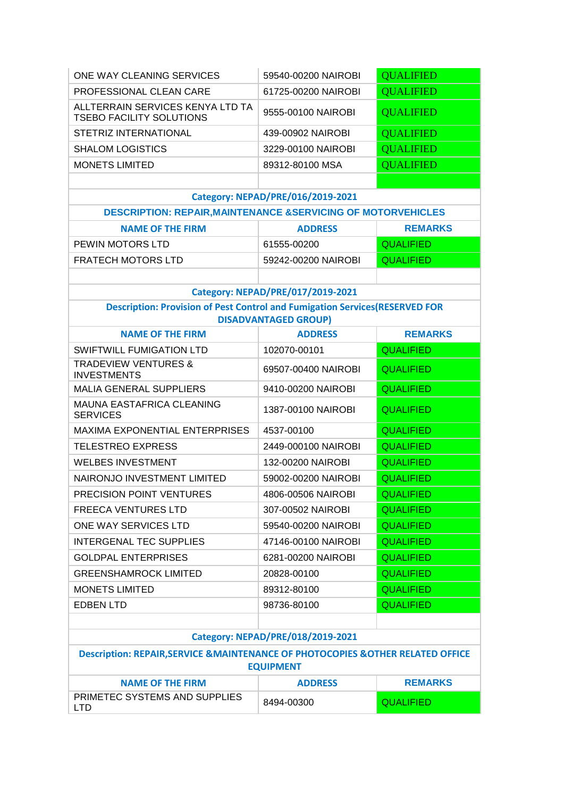| ONE WAY CLEANING SERVICES                                                                                           | 59540-00200 NAIROBI               | <b>QUALIFIED</b> |
|---------------------------------------------------------------------------------------------------------------------|-----------------------------------|------------------|
| PROFESSIONAL CLEAN CARE                                                                                             | 61725-00200 NAIROBI               | <b>QUALIFIED</b> |
| ALLTERRAIN SERVICES KENYA LTD TA<br><b>TSEBO FACILITY SOLUTIONS</b>                                                 | 9555-00100 NAIROBI                | <b>QUALIFIED</b> |
| STETRIZ INTERNATIONAL                                                                                               | 439-00902 NAIROBI                 | <b>QUALIFIED</b> |
| <b>SHALOM LOGISTICS</b>                                                                                             | 3229-00100 NAIROBI                | <b>QUALIFIED</b> |
| <b>MONETS LIMITED</b>                                                                                               | 89312-80100 MSA                   | <b>QUALIFIED</b> |
|                                                                                                                     |                                   |                  |
|                                                                                                                     | Category: NEPAD/PRE/016/2019-2021 |                  |
| <b>DESCRIPTION: REPAIR, MAINTENANCE &amp; SERVICING OF MOTORVEHICLES</b>                                            |                                   |                  |
| <b>NAME OF THE FIRM</b>                                                                                             | <b>ADDRESS</b>                    | <b>REMARKS</b>   |
| PEWIN MOTORS LTD                                                                                                    | 61555-00200                       | <b>QUALIFIED</b> |
| <b>FRATECH MOTORS LTD</b>                                                                                           | 59242-00200 NAIROBI               | <b>QUALIFIED</b> |
|                                                                                                                     |                                   |                  |
|                                                                                                                     | Category: NEPAD/PRE/017/2019-2021 |                  |
| <b>Description: Provision of Pest Control and Fumigation Services (RESERVED FOR</b><br><b>DISADVANTAGED GROUP)</b>  |                                   |                  |
| <b>NAME OF THE FIRM</b>                                                                                             | <b>ADDRESS</b>                    | <b>REMARKS</b>   |
| SWIFTWILL FUMIGATION LTD                                                                                            | 102070-00101                      | <b>QUALIFIED</b> |
| <b>TRADEVIEW VENTURES &amp;</b><br><b>INVESTMENTS</b>                                                               | 69507-00400 NAIROBI               | <b>QUALIFIED</b> |
| <b>MALIA GENERAL SUPPLIERS</b>                                                                                      | 9410-00200 NAIROBI                | <b>QUALIFIED</b> |
| MAUNA EASTAFRICA CLEANING<br><b>SERVICES</b>                                                                        | 1387-00100 NAIROBI                | <b>QUALIFIED</b> |
| <b>MAXIMA EXPONENTIAL ENTERPRISES</b>                                                                               | 4537-00100                        | <b>QUALIFIED</b> |
| <b>TELESTREO EXPRESS</b>                                                                                            | 2449-000100 NAIROBI               | <b>QUALIFIED</b> |
| <b>WELBES INVESTMENT</b>                                                                                            | 132-00200 NAIROBI                 | <b>QUALIFIED</b> |
| NAIRONJO INVESTMENT LIMITED                                                                                         | 59002-00200 NAIROBI               | <b>QUALIFIED</b> |
| PRECISION POINT VENTURES                                                                                            | 4806-00506 NAIROBI                | <b>QUALIFIED</b> |
| <b>FREECA VENTURES LTD</b>                                                                                          | 307-00502 NAIROBI                 | <b>QUALIFIED</b> |
| ONE WAY SERVICES LTD                                                                                                | 59540-00200 NAIROBI               | <b>QUALIFIED</b> |
| <b>INTERGENAL TEC SUPPLIES</b>                                                                                      | 47146-00100 NAIROBI               | <b>QUALIFIED</b> |
| <b>GOLDPAL ENTERPRISES</b>                                                                                          | 6281-00200 NAIROBI                | <b>QUALIFIED</b> |
| <b>GREENSHAMROCK LIMITED</b>                                                                                        | 20828-00100                       | <b>QUALIFIED</b> |
| <b>MONETS LIMITED</b>                                                                                               | 89312-80100                       | <b>QUALIFIED</b> |
| <b>EDBEN LTD</b>                                                                                                    | 98736-80100                       | <b>QUALIFIED</b> |
|                                                                                                                     |                                   |                  |
| Category: NEPAD/PRE/018/2019-2021                                                                                   |                                   |                  |
| <b>Description: REPAIR, SERVICE &amp; MAINTENANCE OF PHOTOCOPIES &amp; OTHER RELATED OFFICE</b><br><b>EQUIPMENT</b> |                                   |                  |
| <b>NAME OF THE FIRM</b>                                                                                             | <b>ADDRESS</b>                    | <b>REMARKS</b>   |
| PRIMETEC SYSTEMS AND SUPPLIES<br><b>LTD</b>                                                                         | 8494-00300                        | <b>QUALIFIED</b> |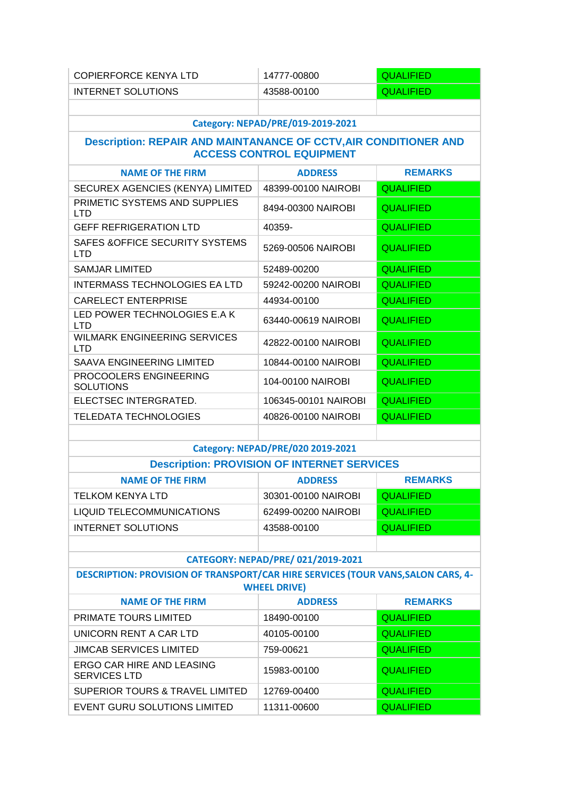| <b>COPIERFORCE KENYA LTD</b>                                                                                   | 14777-00800                                        | <b>QUALIFIED</b> |
|----------------------------------------------------------------------------------------------------------------|----------------------------------------------------|------------------|
| <b>INTERNET SOLUTIONS</b>                                                                                      | 43588-00100                                        | <b>QUALIFIED</b> |
|                                                                                                                |                                                    |                  |
|                                                                                                                | Category: NEPAD/PRE/019-2019-2021                  |                  |
| <b>Description: REPAIR AND MAINTANANCE OF CCTV, AIR CONDITIONER AND</b>                                        | <b>ACCESS CONTROL EQUIPMENT</b>                    |                  |
| <b>NAME OF THE FIRM</b>                                                                                        | <b>ADDRESS</b>                                     | <b>REMARKS</b>   |
| SECUREX AGENCIES (KENYA) LIMITED                                                                               | 48399-00100 NAIROBI                                | <b>QUALIFIED</b> |
| PRIMETIC SYSTEMS AND SUPPLIES<br><b>LTD</b>                                                                    | 8494-00300 NAIROBI                                 | <b>QUALIFIED</b> |
| <b>GEFF REFRIGERATION LTD</b>                                                                                  | 40359-                                             | <b>QUALIFIED</b> |
| SAFES & OFFICE SECURITY SYSTEMS<br><b>LTD</b>                                                                  | 5269-00506 NAIROBI                                 | <b>QUALIFIED</b> |
| <b>SAMJAR LIMITED</b>                                                                                          | 52489-00200                                        | <b>QUALIFIED</b> |
| <b>INTERMASS TECHNOLOGIES EA LTD</b>                                                                           | 59242-00200 NAIROBI                                | <b>QUALIFIED</b> |
| <b>CARELECT ENTERPRISE</b>                                                                                     | 44934-00100                                        | <b>QUALIFIED</b> |
| LED POWER TECHNOLOGIES E.A K<br><b>LTD</b>                                                                     | 63440-00619 NAIROBI                                | <b>QUALIFIED</b> |
| <b>WILMARK ENGINEERING SERVICES</b><br><b>LTD</b>                                                              | 42822-00100 NAIROBI                                | <b>QUALIFIED</b> |
| SAAVA ENGINEERING LIMITED                                                                                      | 10844-00100 NAIROBI                                | <b>QUALIFIED</b> |
| PROCOOLERS ENGINEERING<br><b>SOLUTIONS</b>                                                                     | 104-00100 NAIROBI                                  | <b>QUALIFIED</b> |
| ELECTSEC INTERGRATED.                                                                                          | 106345-00101 NAIROBI                               | <b>QUALIFIED</b> |
| <b>TELEDATA TECHNOLOGIES</b>                                                                                   | 40826-00100 NAIROBI                                | <b>QUALIFIED</b> |
|                                                                                                                |                                                    |                  |
| Category: NEPAD/PRE/020 2019-2021                                                                              |                                                    |                  |
|                                                                                                                | <b>Description: PROVISION OF INTERNET SERVICES</b> |                  |
| <b>NAME OF THE FIRM</b>                                                                                        | <b>ADDRESS</b>                                     | <b>REMARKS</b>   |
| TELKOM KENYA LTD                                                                                               | 30301-00100 NAIROBI                                | <b>QUALIFIED</b> |
| <b>LIQUID TELECOMMUNICATIONS</b>                                                                               | 62499-00200 NAIROBI                                | <b>QUALIFIED</b> |
| <b>INTERNET SOLUTIONS</b>                                                                                      | 43588-00100                                        | <b>QUALIFIED</b> |
|                                                                                                                |                                                    |                  |
|                                                                                                                | CATEGORY: NEPAD/PRE/ 021/2019-2021                 |                  |
| <b>DESCRIPTION: PROVISION OF TRANSPORT/CAR HIRE SERVICES (TOUR VANS, SALON CARS, 4-</b><br><b>WHEEL DRIVE)</b> |                                                    |                  |
| <b>NAME OF THE FIRM</b>                                                                                        | <b>ADDRESS</b>                                     | <b>REMARKS</b>   |
| <b>PRIMATE TOURS LIMITED</b>                                                                                   | 18490-00100                                        | <b>QUALIFIED</b> |
| UNICORN RENT A CAR LTD                                                                                         | 40105-00100                                        | <b>QUALIFIED</b> |
| <b>JIMCAB SERVICES LIMITED</b>                                                                                 | 759-00621                                          | <b>QUALIFIED</b> |
| ERGO CAR HIRE AND LEASING<br><b>SERVICES LTD</b>                                                               | 15983-00100                                        | <b>QUALIFIED</b> |
| SUPERIOR TOURS & TRAVEL LIMITED                                                                                | 12769-00400                                        | <b>QUALIFIED</b> |
| EVENT GURU SOLUTIONS LIMITED                                                                                   | 11311-00600                                        | <b>QUALIFIED</b> |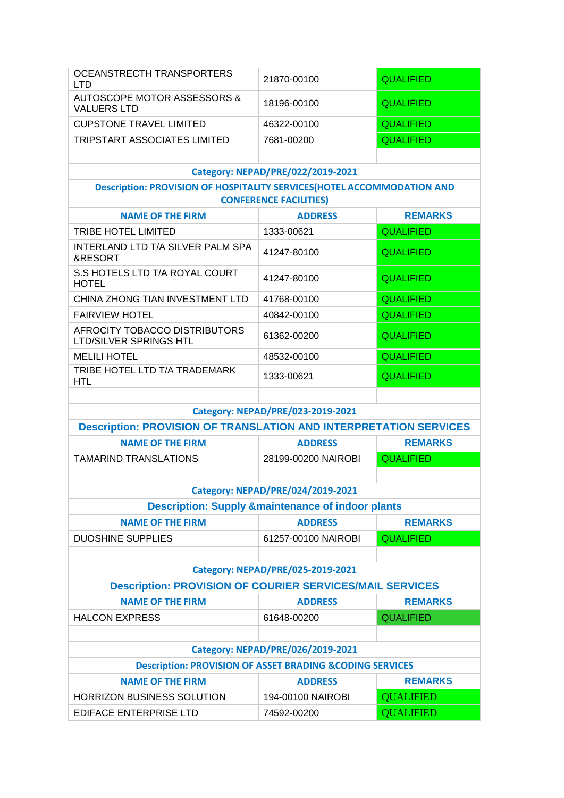| OCEANSTRECTH TRANSPORTERS<br><b>LTD</b>                                       | 21870-00100                                                  | <b>QUALIFIED</b>                   |
|-------------------------------------------------------------------------------|--------------------------------------------------------------|------------------------------------|
| <b>AUTOSCOPE MOTOR ASSESSORS &amp;</b><br><b>VALUERS LTD</b>                  | 18196-00100                                                  | <b>QUALIFIED</b>                   |
| <b>CUPSTONE TRAVEL LIMITED</b>                                                | 46322-00100                                                  | <b>QUALIFIED</b>                   |
| TRIPSTART ASSOCIATES LIMITED                                                  | 7681-00200                                                   | <b>QUALIFIED</b>                   |
|                                                                               |                                                              |                                    |
|                                                                               | Category: NEPAD/PRE/022/2019-2021                            |                                    |
| <b>Description: PROVISION OF HOSPITALITY SERVICES(HOTEL ACCOMMODATION AND</b> | <b>CONFERENCE FACILITIES)</b>                                |                                    |
| <b>NAME OF THE FIRM</b>                                                       | <b>ADDRESS</b>                                               | <b>REMARKS</b>                     |
| TRIBE HOTEL LIMITED                                                           | 1333-00621                                                   | <b>QUALIFIED</b>                   |
| INTERLAND LTD T/A SILVER PALM SPA<br>&RESORT                                  | 41247-80100                                                  | <b>QUALIFIED</b>                   |
| S.S HOTELS LTD T/A ROYAL COURT<br><b>HOTEL</b>                                | 41247-80100                                                  | <b>QUALIFIED</b>                   |
| CHINA ZHONG TIAN INVESTMENT LTD                                               | 41768-00100                                                  | <b>QUALIFIED</b>                   |
| <b>FAIRVIEW HOTEL</b>                                                         | 40842-00100                                                  | <b>QUALIFIED</b>                   |
| AFROCITY TOBACCO DISTRIBUTORS<br><b>LTD/SILVER SPRINGS HTL</b>                | 61362-00200                                                  | <b>QUALIFIED</b>                   |
| <b>MELILI HOTEL</b>                                                           | 48532-00100                                                  | <b>QUALIFIED</b>                   |
| TRIBE HOTEL LTD T/A TRADEMARK<br><b>HTL</b>                                   | 1333-00621                                                   | <b>QUALIFIED</b>                   |
|                                                                               |                                                              |                                    |
|                                                                               | Category: NEPAD/PRE/023-2019-2021                            |                                    |
| <b>Description: PROVISION OF TRANSLATION AND INTERPRETATION SERVICES</b>      |                                                              |                                    |
| <b>NAME OF THE FIRM</b>                                                       | <b>ADDRESS</b>                                               | <b>REMARKS</b>                     |
| <b>TAMARIND TRANSLATIONS</b>                                                  | 28199-00200 NAIROBI                                          | <b>QUALIFIED</b>                   |
|                                                                               |                                                              |                                    |
|                                                                               | Category: NEPAD/PRE/024/2019-2021                            |                                    |
|                                                                               | <b>Description: Supply &amp;maintenance of indoor plants</b> |                                    |
| <b>NAME OF THE FIRM</b>                                                       | <b>ADDRESS</b>                                               | <b>REMARKS</b>                     |
| <b>DUOSHINE SUPPLIES</b>                                                      | 61257-00100 NAIROBI                                          | <b>QUALIFIED</b>                   |
|                                                                               |                                                              |                                    |
|                                                                               | Category: NEPAD/PRE/025-2019-2021                            |                                    |
| <b>Description: PROVISION OF COURIER SERVICES/MAIL SERVICES</b>               |                                                              |                                    |
| <b>NAME OF THE FIRM</b><br><b>HALCON EXPRESS</b>                              | <b>ADDRESS</b>                                               | <b>REMARKS</b>                     |
|                                                                               |                                                              |                                    |
|                                                                               | 61648-00200                                                  | <b>QUALIFIED</b>                   |
|                                                                               |                                                              |                                    |
|                                                                               | Category: NEPAD/PRE/026/2019-2021                            |                                    |
| <b>Description: PROVISION OF ASSET BRADING &amp;CODING SERVICES</b>           |                                                              |                                    |
| <b>NAME OF THE FIRM</b><br>HORRIZON BUSINESS SOLUTION                         | <b>ADDRESS</b><br>194-00100 NAIROBI                          | <b>REMARKS</b><br><b>QUALIFIED</b> |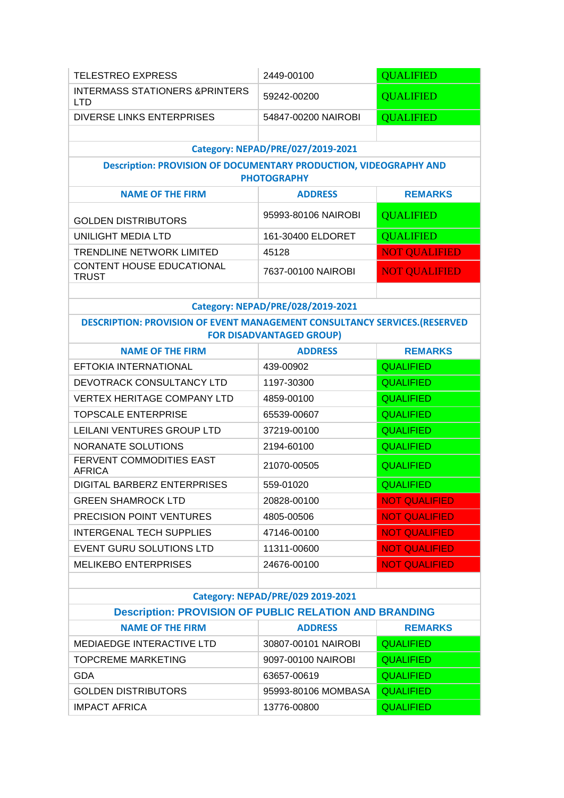| <b>TELESTREO EXPRESS</b>                                                                                             | 2449-00100                        | <b>QUALIFIED</b>     |
|----------------------------------------------------------------------------------------------------------------------|-----------------------------------|----------------------|
| <b>INTERMASS STATIONERS &amp;PRINTERS</b><br><b>LTD</b>                                                              | 59242-00200                       | <b>QUALIFIED</b>     |
| <b>DIVERSE LINKS ENTERPRISES</b>                                                                                     | 54847-00200 NAIROBI               | <b>QUALIFIED</b>     |
|                                                                                                                      |                                   |                      |
|                                                                                                                      | Category: NEPAD/PRE/027/2019-2021 |                      |
| <b>Description: PROVISION OF DOCUMENTARY PRODUCTION, VIDEOGRAPHY AND</b>                                             | <b>PHOTOGRAPHY</b>                |                      |
| <b>NAME OF THE FIRM</b>                                                                                              | <b>ADDRESS</b>                    | <b>REMARKS</b>       |
| <b>GOLDEN DISTRIBUTORS</b>                                                                                           | 95993-80106 NAIROBI               | <b>QUALIFIED</b>     |
| UNILIGHT MEDIA LTD                                                                                                   | 161-30400 ELDORET                 | <b>QUALIFIED</b>     |
| <b>TRENDLINE NETWORK LIMITED</b>                                                                                     | 45128                             | <b>NOT QUALIFIED</b> |
| CONTENT HOUSE EDUCATIONAL<br><b>TRUST</b>                                                                            | 7637-00100 NAIROBI                | <b>NOT QUALIFIED</b> |
|                                                                                                                      |                                   |                      |
|                                                                                                                      | Category: NEPAD/PRE/028/2019-2021 |                      |
| <b>DESCRIPTION: PROVISION OF EVENT MANAGEMENT CONSULTANCY SERVICES. (RESERVED</b><br><b>FOR DISADVANTAGED GROUP)</b> |                                   |                      |
| <b>NAME OF THE FIRM</b>                                                                                              | <b>ADDRESS</b>                    | <b>REMARKS</b>       |
| EFTOKIA INTERNATIONAL                                                                                                | 439-00902                         | <b>QUALIFIED</b>     |
| DEVOTRACK CONSULTANCY LTD                                                                                            | 1197-30300                        | <b>QUALIFIED</b>     |
| <b>VERTEX HERITAGE COMPANY LTD</b>                                                                                   | 4859-00100                        | <b>QUALIFIED</b>     |
| <b>TOPSCALE ENTERPRISE</b>                                                                                           | 65539-00607                       | <b>QUALIFIED</b>     |
| LEILANI VENTURES GROUP LTD                                                                                           | 37219-00100                       | <b>QUALIFIED</b>     |
| <b>NORANATE SOLUTIONS</b>                                                                                            | 2194-60100                        | <b>QUALIFIED</b>     |
| FERVENT COMMODITIES EAST<br><b>AFRICA</b>                                                                            | 21070-00505                       | <b>QUALIFIED</b>     |
| DIGITAL BARBERZ ENTERPRISES                                                                                          | 559-01020                         | <b>QUALIFIED</b>     |
| <b>GREEN SHAMROCK LTD</b>                                                                                            | 20828-00100                       | <b>NOT QUALIFIED</b> |
| PRECISION POINT VENTURES                                                                                             | 4805-00506                        | <b>NOT QUALIFIED</b> |
| <b>INTERGENAL TECH SUPPLIES</b>                                                                                      | 47146-00100                       | <b>NOT QUALIFIED</b> |
| EVENT GURU SOLUTIONS LTD                                                                                             | 11311-00600                       | <b>NOT QUALIFIED</b> |
| <b>MELIKEBO ENTERPRISES</b>                                                                                          | 24676-00100                       | <b>NOT QUALIFIED</b> |
|                                                                                                                      |                                   |                      |
|                                                                                                                      | Category: NEPAD/PRE/029 2019-2021 |                      |
| <b>Description: PROVISION OF PUBLIC RELATION AND BRANDING</b>                                                        |                                   |                      |
| <b>NAME OF THE FIRM</b>                                                                                              | <b>ADDRESS</b>                    | <b>REMARKS</b>       |
| MEDIAEDGE INTERACTIVE LTD                                                                                            | 30807-00101 NAIROBI               | <b>QUALIFIED</b>     |
| <b>TOPCREME MARKETING</b>                                                                                            | 9097-00100 NAIROBI                | <b>QUALIFIED</b>     |
| <b>GDA</b>                                                                                                           | 63657-00619                       | <b>QUALIFIED</b>     |
| <b>GOLDEN DISTRIBUTORS</b>                                                                                           | 95993-80106 MOMBASA               | <b>QUALIFIED</b>     |
| <b>IMPACT AFRICA</b>                                                                                                 | 13776-00800                       | <b>QUALIFIED</b>     |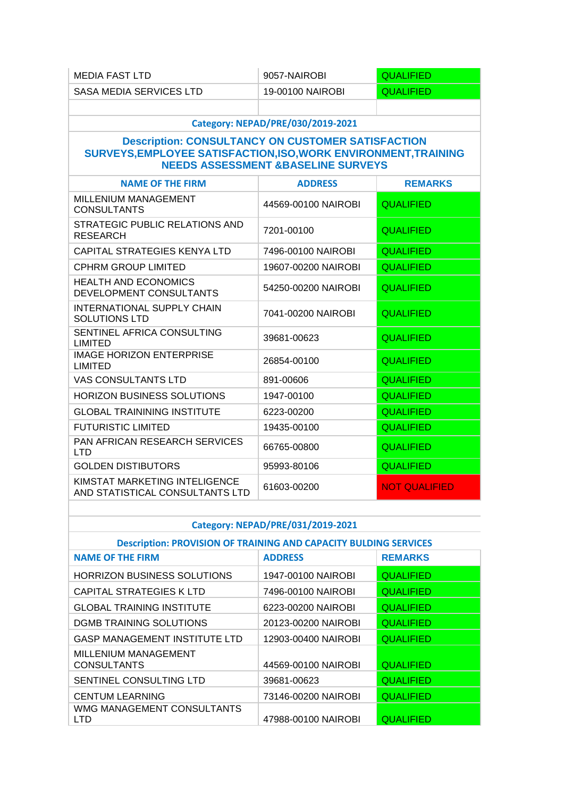| <b>MEDIA FAST LTD</b>                                                                                                                                                        | 9057-NAIROBI                      | <b>QUALIFIED</b>     |
|------------------------------------------------------------------------------------------------------------------------------------------------------------------------------|-----------------------------------|----------------------|
| <b>SASA MEDIA SERVICES LTD</b>                                                                                                                                               | 19-00100 NAIROBI                  | <b>QUALIFIED</b>     |
|                                                                                                                                                                              |                                   |                      |
|                                                                                                                                                                              | Category: NEPAD/PRE/030/2019-2021 |                      |
| <b>Description: CONSULTANCY ON CUSTOMER SATISFACTION</b><br>SURVEYS, EMPLOYEE SATISFACTION, ISO, WORK ENVIRONMENT, TRAINING<br><b>NEEDS ASSESSMENT &amp;BASELINE SURVEYS</b> |                                   |                      |
| <b>NAME OF THE FIRM</b>                                                                                                                                                      | <b>ADDRESS</b>                    | <b>REMARKS</b>       |
| MILLENIUM MANAGEMENT<br><b>CONSULTANTS</b>                                                                                                                                   | 44569-00100 NAIROBI               | <b>QUALIFIED</b>     |
| STRATEGIC PUBLIC RELATIONS AND<br><b>RESEARCH</b>                                                                                                                            | 7201-00100                        | <b>QUALIFIED</b>     |
| <b>CAPITAL STRATEGIES KENYA LTD</b>                                                                                                                                          | 7496-00100 NAIROBI                | <b>QUALIFIED</b>     |
| <b>CPHRM GROUP LIMITED</b>                                                                                                                                                   | 19607-00200 NAIROBI               | <b>QUALIFIED</b>     |
| <b>HEALTH AND ECONOMICS</b><br>DEVELOPMENT CONSULTANTS                                                                                                                       | 54250-00200 NAIROBI               | <b>QUALIFIED</b>     |
| <b>INTERNATIONAL SUPPLY CHAIN</b><br><b>SOLUTIONS LTD</b>                                                                                                                    | 7041-00200 NAIROBI                | <b>QUALIFIED</b>     |
| SENTINEL AFRICA CONSULTING<br><b>LIMITED</b>                                                                                                                                 | 39681-00623                       | <b>QUALIFIED</b>     |
| <b>IMAGE HORIZON ENTERPRISE</b><br><b>LIMITED</b>                                                                                                                            | 26854-00100                       | <b>QUALIFIED</b>     |
| <b>VAS CONSULTANTS LTD</b>                                                                                                                                                   | 891-00606                         | <b>QUALIFIED</b>     |
| <b>HORIZON BUSINESS SOLUTIONS</b>                                                                                                                                            | 1947-00100                        | <b>QUALIFIED</b>     |
| <b>GLOBAL TRAININING INSTITUTE</b>                                                                                                                                           | 6223-00200                        | <b>QUALIFIED</b>     |
| <b>FUTURISTIC LIMITED</b>                                                                                                                                                    | 19435-00100                       | <b>QUALIFIED</b>     |
| PAN AFRICAN RESEARCH SERVICES<br><b>LTD</b>                                                                                                                                  | 66765-00800                       | <b>QUALIFIED</b>     |
| <b>GOLDEN DISTIBUTORS</b>                                                                                                                                                    | 95993-80106                       | <b>QUALIFIED</b>     |
| KIMSTAT MARKETING INTELIGENCE<br>AND STATISTICAL CONSULTANTS LTD                                                                                                             | 61603-00200                       | <b>NOT QUALIFIED</b> |

# **Category: NEPAD/PRE/031/2019-2021**

## **Description: PROVISION OF TRAINING AND CAPACITY BULDING SERVICES**

| <b>NAME OF THE FIRM</b>                    | <b>ADDRESS</b>      | <b>REMARKS</b>   |
|--------------------------------------------|---------------------|------------------|
| HORRIZON BUSINESS SOLUTIONS                | 1947-00100 NAIROBI  | <b>QUALIFIED</b> |
| CAPITAL STRATEGIES K LTD                   | 7496-00100 NAIROBI  | <b>QUALIFIED</b> |
| <b>GLOBAL TRAINING INSTITUTE</b>           | 6223-00200 NAIROBI  | <b>QUALIFIED</b> |
| DGMB TRAINING SOLUTIONS                    | 20123-00200 NAIROBI | <b>QUALIFIED</b> |
| <b>GASP MANAGEMENT INSTITUTE LTD</b>       | 12903-00400 NAIROBI | <b>QUALIFIED</b> |
| MILLENIUM MANAGEMENT<br><b>CONSULTANTS</b> | 44569-00100 NAIROBI | <b>QUALIFIED</b> |
| SENTINEL CONSULTING LTD                    | 39681-00623         | <b>QUALIFIED</b> |
| <b>CENTUM LEARNING</b>                     | 73146-00200 NAIROBI | <b>QUALIFIED</b> |
| WMG MANAGEMENT CONSULTANTS<br>LTD          | 47988-00100 NAIROBI | <b>QUALIFIED</b> |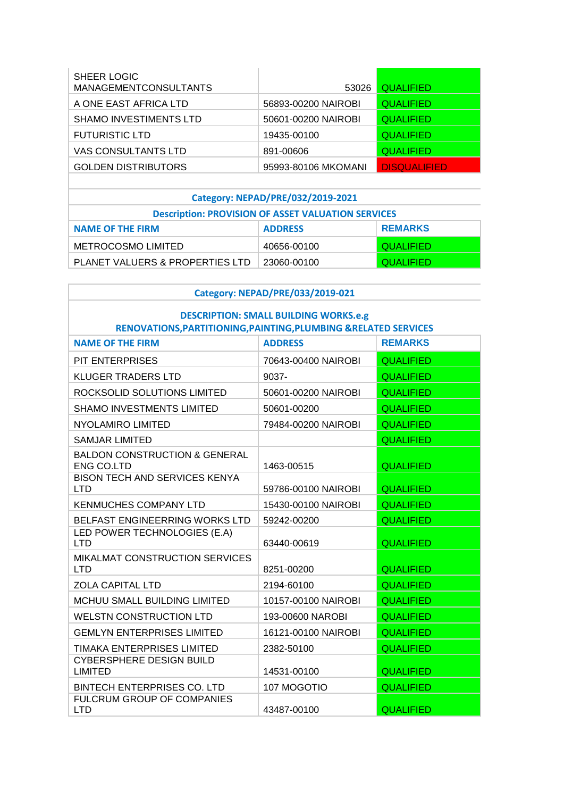| <b>SHEER LOGIC</b><br><b>MANAGEMENTCONSULTANTS</b> | 53026               | <b>QUALIFIED</b>    |
|----------------------------------------------------|---------------------|---------------------|
| A ONE EAST AFRICA LTD                              | 56893-00200 NAIROBI | <b>QUALIFIED</b>    |
| <b>SHAMO INVESTIMENTS LTD</b>                      | 50601-00200 NAIROBI | <b>QUALIFIED</b>    |
| <b>FUTURISTIC LTD</b>                              | 19435-00100         | <b>QUALIFIED</b>    |
| VAS CONSULTANTS LTD                                | 891-00606           | <b>QUALIFIED</b>    |
| <b>GOLDEN DISTRIBUTORS</b>                         | 95993-80106 MKOMANI | <b>DISQUALIFIED</b> |

# **Category: NEPAD/PRE/032/2019-2021**

| <b>Description: PROVISION OF ASSET VALUATION SERVICES</b> |                |                  |  |
|-----------------------------------------------------------|----------------|------------------|--|
| <b>NAME OF THE FIRM</b>                                   | <b>ADDRESS</b> | <b>REMARKS</b>   |  |
| METROCOSMO LIMITED                                        | 40656-00100    | QUALIFIED        |  |
| PLANET VALUERS & PROPERTIES LTD                           | 23060-00100    | <b>QUALIFIED</b> |  |

## **Category: NEPAD/PRE/033/2019-021**

#### **DESCRIPTION: SMALL BUILDING WORKS.e.g RENOVATIONS,PARTITIONING,PAINTING,PLUMBING &RELATED SERVICES**

| <b>NAME OF THE FIRM</b>                                       | <b>ADDRESS</b>      | <b>REMARKS</b>   |
|---------------------------------------------------------------|---------------------|------------------|
| PIT ENTERPRISES                                               | 70643-00400 NAIROBI | <b>QUALIFIED</b> |
| <b>KLUGER TRADERS LTD</b>                                     | $9037 -$            | <b>QUALIFIED</b> |
| ROCKSOLID SOLUTIONS LIMITED                                   | 50601-00200 NAIROBI | <b>QUALIFIED</b> |
| SHAMO INVESTMENTS LIMITED                                     | 50601-00200         | <b>QUALIFIED</b> |
| <b>NYOLAMIRO LIMITED</b>                                      | 79484-00200 NAIROBI | <b>QUALIFIED</b> |
| <b>SAMJAR LIMITED</b>                                         |                     | <b>QUALIFIED</b> |
| <b>BALDON CONSTRUCTION &amp; GENERAL</b><br><b>ENG CO.LTD</b> | 1463-00515          | <b>QUALIFIED</b> |
| <b>BISON TECH AND SERVICES KENYA</b><br><b>LTD</b>            | 59786-00100 NAIROBI | <b>QUALIFIED</b> |
| <b>KENMUCHES COMPANY LTD</b>                                  | 15430-00100 NAIROBI | <b>QUALIFIED</b> |
| BELFAST ENGINEERRING WORKS LTD                                | 59242-00200         | <b>QUALIFIED</b> |
| LED POWER TECHNOLOGIES (E.A)<br><b>LTD</b>                    | 63440-00619         | <b>QUALIFIED</b> |
| MIKALMAT CONSTRUCTION SERVICES<br><b>LTD</b>                  | 8251-00200          | <b>QUALIFIED</b> |
| <b>ZOLA CAPITAL LTD</b>                                       | 2194-60100          | <b>QUALIFIED</b> |
| MCHUU SMALL BUILDING LIMITED                                  | 10157-00100 NAIROBI | <b>QUALIFIED</b> |
| <b>WELSTN CONSTRUCTION LTD</b>                                | 193-00600 NAROBI    | <b>QUALIFIED</b> |
| <b>GEMLYN ENTERPRISES LIMITED</b>                             | 16121-00100 NAIROBI | <b>QUALIFIED</b> |
| TIMAKA ENTERPRISES LIMITED                                    | 2382-50100          | <b>QUALIFIED</b> |
| <b>CYBERSPHERE DESIGN BUILD</b><br><b>LIMITED</b>             | 14531-00100         | <b>QUALIFIED</b> |
| BINTECH ENTERPRISES CO. LTD                                   | 107 MOGOTIO         | <b>QUALIFIED</b> |
| FULCRUM GROUP OF COMPANIES<br>LTD                             | 43487-00100         | <b>QUALIFIED</b> |